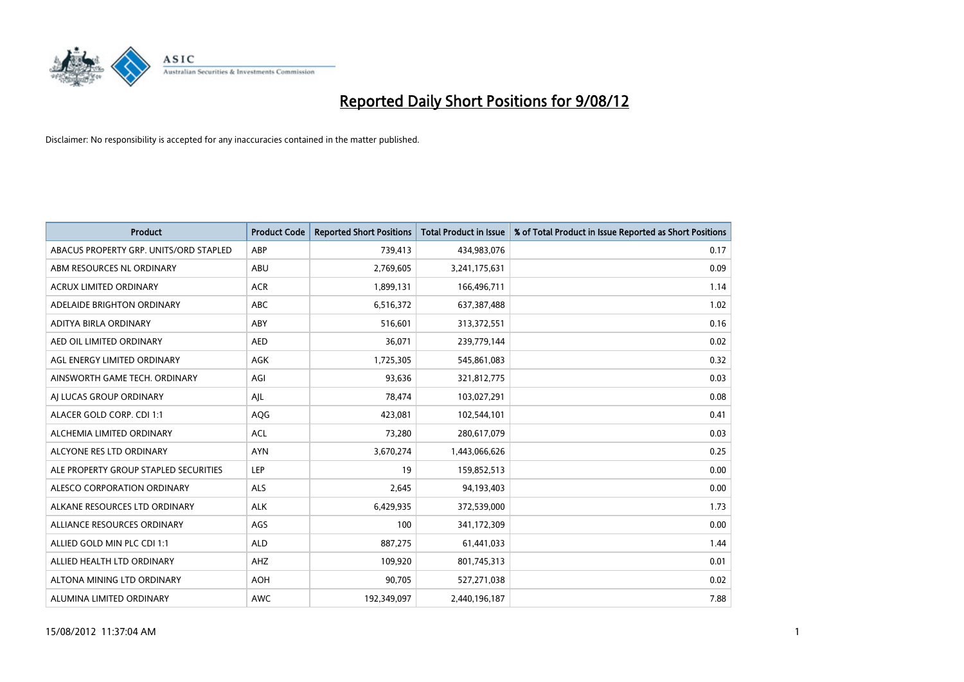

| <b>Product</b>                         | <b>Product Code</b> | <b>Reported Short Positions</b> | <b>Total Product in Issue</b> | % of Total Product in Issue Reported as Short Positions |
|----------------------------------------|---------------------|---------------------------------|-------------------------------|---------------------------------------------------------|
| ABACUS PROPERTY GRP. UNITS/ORD STAPLED | ABP                 | 739,413                         | 434,983,076                   | 0.17                                                    |
| ABM RESOURCES NL ORDINARY              | ABU                 | 2,769,605                       | 3,241,175,631                 | 0.09                                                    |
| <b>ACRUX LIMITED ORDINARY</b>          | <b>ACR</b>          | 1,899,131                       | 166,496,711                   | 1.14                                                    |
| ADELAIDE BRIGHTON ORDINARY             | <b>ABC</b>          | 6,516,372                       | 637,387,488                   | 1.02                                                    |
| <b>ADITYA BIRLA ORDINARY</b>           | ABY                 | 516,601                         | 313,372,551                   | 0.16                                                    |
| AED OIL LIMITED ORDINARY               | <b>AED</b>          | 36,071                          | 239,779,144                   | 0.02                                                    |
| AGL ENERGY LIMITED ORDINARY            | AGK                 | 1,725,305                       | 545,861,083                   | 0.32                                                    |
| AINSWORTH GAME TECH. ORDINARY          | AGI                 | 93,636                          | 321,812,775                   | 0.03                                                    |
| AI LUCAS GROUP ORDINARY                | AJL                 | 78,474                          | 103,027,291                   | 0.08                                                    |
| ALACER GOLD CORP. CDI 1:1              | AQG                 | 423,081                         | 102,544,101                   | 0.41                                                    |
| ALCHEMIA LIMITED ORDINARY              | <b>ACL</b>          | 73,280                          | 280,617,079                   | 0.03                                                    |
| ALCYONE RES LTD ORDINARY               | <b>AYN</b>          | 3,670,274                       | 1,443,066,626                 | 0.25                                                    |
| ALE PROPERTY GROUP STAPLED SECURITIES  | LEP                 | 19                              | 159,852,513                   | 0.00                                                    |
| ALESCO CORPORATION ORDINARY            | ALS                 | 2,645                           | 94,193,403                    | 0.00                                                    |
| ALKANE RESOURCES LTD ORDINARY          | <b>ALK</b>          | 6,429,935                       | 372,539,000                   | 1.73                                                    |
| ALLIANCE RESOURCES ORDINARY            | AGS                 | 100                             | 341,172,309                   | 0.00                                                    |
| ALLIED GOLD MIN PLC CDI 1:1            | <b>ALD</b>          | 887,275                         | 61,441,033                    | 1.44                                                    |
| ALLIED HEALTH LTD ORDINARY             | AHZ                 | 109,920                         | 801,745,313                   | 0.01                                                    |
| ALTONA MINING LTD ORDINARY             | <b>AOH</b>          | 90,705                          | 527,271,038                   | 0.02                                                    |
| ALUMINA LIMITED ORDINARY               | <b>AWC</b>          | 192,349,097                     | 2,440,196,187                 | 7.88                                                    |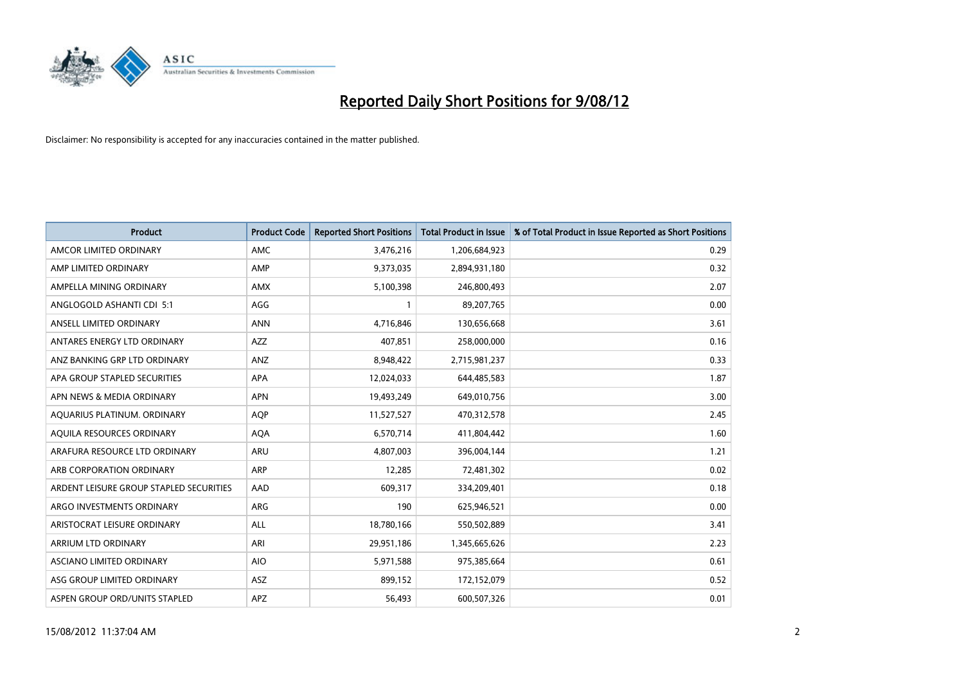

| <b>Product</b>                          | <b>Product Code</b> | <b>Reported Short Positions</b> | <b>Total Product in Issue</b> | % of Total Product in Issue Reported as Short Positions |
|-----------------------------------------|---------------------|---------------------------------|-------------------------------|---------------------------------------------------------|
| AMCOR LIMITED ORDINARY                  | <b>AMC</b>          | 3,476,216                       | 1,206,684,923                 | 0.29                                                    |
| AMP LIMITED ORDINARY                    | AMP                 | 9,373,035                       | 2,894,931,180                 | 0.32                                                    |
| AMPELLA MINING ORDINARY                 | <b>AMX</b>          | 5,100,398                       | 246,800,493                   | 2.07                                                    |
| ANGLOGOLD ASHANTI CDI 5:1               | AGG                 |                                 | 89,207,765                    | 0.00                                                    |
| ANSELL LIMITED ORDINARY                 | <b>ANN</b>          | 4,716,846                       | 130,656,668                   | 3.61                                                    |
| ANTARES ENERGY LTD ORDINARY             | <b>AZZ</b>          | 407,851                         | 258,000,000                   | 0.16                                                    |
| ANZ BANKING GRP LTD ORDINARY            | <b>ANZ</b>          | 8,948,422                       | 2,715,981,237                 | 0.33                                                    |
| APA GROUP STAPLED SECURITIES            | <b>APA</b>          | 12,024,033                      | 644,485,583                   | 1.87                                                    |
| APN NEWS & MEDIA ORDINARY               | <b>APN</b>          | 19,493,249                      | 649,010,756                   | 3.00                                                    |
| AQUARIUS PLATINUM. ORDINARY             | <b>AOP</b>          | 11,527,527                      | 470,312,578                   | 2.45                                                    |
| AQUILA RESOURCES ORDINARY               | <b>AQA</b>          | 6,570,714                       | 411,804,442                   | 1.60                                                    |
| ARAFURA RESOURCE LTD ORDINARY           | <b>ARU</b>          | 4,807,003                       | 396,004,144                   | 1.21                                                    |
| ARB CORPORATION ORDINARY                | <b>ARP</b>          | 12,285                          | 72,481,302                    | 0.02                                                    |
| ARDENT LEISURE GROUP STAPLED SECURITIES | AAD                 | 609,317                         | 334,209,401                   | 0.18                                                    |
| ARGO INVESTMENTS ORDINARY               | <b>ARG</b>          | 190                             | 625,946,521                   | 0.00                                                    |
| ARISTOCRAT LEISURE ORDINARY             | ALL                 | 18,780,166                      | 550,502,889                   | 3.41                                                    |
| ARRIUM LTD ORDINARY                     | ARI                 | 29,951,186                      | 1,345,665,626                 | 2.23                                                    |
| ASCIANO LIMITED ORDINARY                | <b>AIO</b>          | 5,971,588                       | 975,385,664                   | 0.61                                                    |
| ASG GROUP LIMITED ORDINARY              | <b>ASZ</b>          | 899,152                         | 172,152,079                   | 0.52                                                    |
| ASPEN GROUP ORD/UNITS STAPLED           | APZ                 | 56,493                          | 600,507,326                   | 0.01                                                    |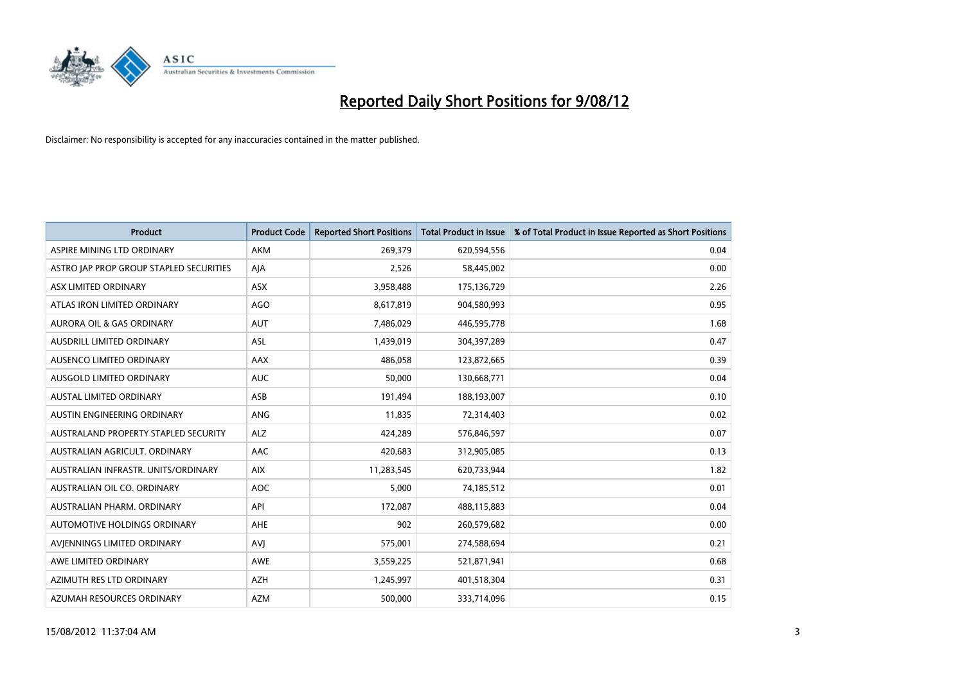

| <b>Product</b>                          | <b>Product Code</b> | <b>Reported Short Positions</b> | <b>Total Product in Issue</b> | % of Total Product in Issue Reported as Short Positions |
|-----------------------------------------|---------------------|---------------------------------|-------------------------------|---------------------------------------------------------|
| ASPIRE MINING LTD ORDINARY              | <b>AKM</b>          | 269,379                         | 620,594,556                   | 0.04                                                    |
| ASTRO JAP PROP GROUP STAPLED SECURITIES | AJA                 | 2,526                           | 58,445,002                    | 0.00                                                    |
| ASX LIMITED ORDINARY                    | <b>ASX</b>          | 3,958,488                       | 175,136,729                   | 2.26                                                    |
| ATLAS IRON LIMITED ORDINARY             | AGO                 | 8,617,819                       | 904,580,993                   | 0.95                                                    |
| <b>AURORA OIL &amp; GAS ORDINARY</b>    | <b>AUT</b>          | 7,486,029                       | 446,595,778                   | 1.68                                                    |
| AUSDRILL LIMITED ORDINARY               | <b>ASL</b>          | 1,439,019                       | 304,397,289                   | 0.47                                                    |
| AUSENCO LIMITED ORDINARY                | <b>AAX</b>          | 486.058                         | 123,872,665                   | 0.39                                                    |
| AUSGOLD LIMITED ORDINARY                | <b>AUC</b>          | 50,000                          | 130,668,771                   | 0.04                                                    |
| <b>AUSTAL LIMITED ORDINARY</b>          | ASB                 | 191,494                         | 188,193,007                   | 0.10                                                    |
| AUSTIN ENGINEERING ORDINARY             | ANG                 | 11,835                          | 72,314,403                    | 0.02                                                    |
| AUSTRALAND PROPERTY STAPLED SECURITY    | <b>ALZ</b>          | 424,289                         | 576,846,597                   | 0.07                                                    |
| AUSTRALIAN AGRICULT, ORDINARY           | AAC                 | 420,683                         | 312,905,085                   | 0.13                                                    |
| AUSTRALIAN INFRASTR. UNITS/ORDINARY     | <b>AIX</b>          | 11,283,545                      | 620,733,944                   | 1.82                                                    |
| AUSTRALIAN OIL CO. ORDINARY             | <b>AOC</b>          | 5,000                           | 74,185,512                    | 0.01                                                    |
| AUSTRALIAN PHARM, ORDINARY              | API                 | 172,087                         | 488,115,883                   | 0.04                                                    |
| AUTOMOTIVE HOLDINGS ORDINARY            | AHE                 | 902                             | 260,579,682                   | 0.00                                                    |
| AVIENNINGS LIMITED ORDINARY             | AVI                 | 575,001                         | 274,588,694                   | 0.21                                                    |
| AWE LIMITED ORDINARY                    | <b>AWE</b>          | 3,559,225                       | 521,871,941                   | 0.68                                                    |
| AZIMUTH RES LTD ORDINARY                | <b>AZH</b>          | 1,245,997                       | 401,518,304                   | 0.31                                                    |
| AZUMAH RESOURCES ORDINARY               | <b>AZM</b>          | 500,000                         | 333,714,096                   | 0.15                                                    |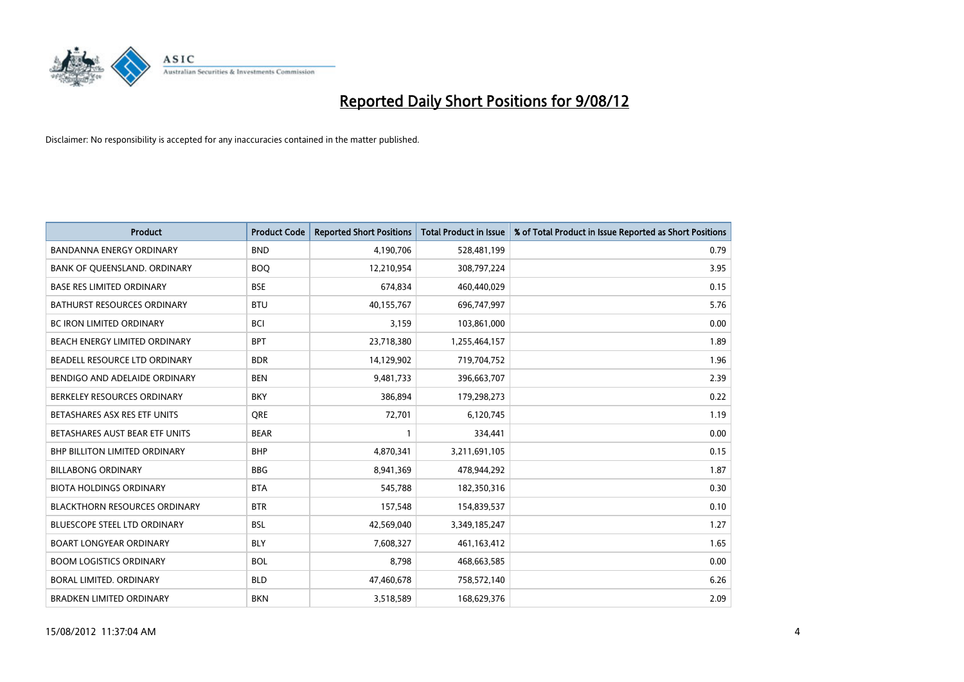

| <b>Product</b>                       | <b>Product Code</b> | <b>Reported Short Positions</b> | <b>Total Product in Issue</b> | % of Total Product in Issue Reported as Short Positions |
|--------------------------------------|---------------------|---------------------------------|-------------------------------|---------------------------------------------------------|
| <b>BANDANNA ENERGY ORDINARY</b>      | <b>BND</b>          | 4,190,706                       | 528,481,199                   | 0.79                                                    |
| BANK OF QUEENSLAND. ORDINARY         | <b>BOQ</b>          | 12,210,954                      | 308,797,224                   | 3.95                                                    |
| <b>BASE RES LIMITED ORDINARY</b>     | <b>BSE</b>          | 674,834                         | 460,440,029                   | 0.15                                                    |
| BATHURST RESOURCES ORDINARY          | <b>BTU</b>          | 40,155,767                      | 696,747,997                   | 5.76                                                    |
| <b>BC IRON LIMITED ORDINARY</b>      | <b>BCI</b>          | 3,159                           | 103,861,000                   | 0.00                                                    |
| <b>BEACH ENERGY LIMITED ORDINARY</b> | <b>BPT</b>          | 23,718,380                      | 1,255,464,157                 | 1.89                                                    |
| BEADELL RESOURCE LTD ORDINARY        | <b>BDR</b>          | 14,129,902                      | 719,704,752                   | 1.96                                                    |
| BENDIGO AND ADELAIDE ORDINARY        | <b>BEN</b>          | 9,481,733                       | 396,663,707                   | 2.39                                                    |
| BERKELEY RESOURCES ORDINARY          | <b>BKY</b>          | 386,894                         | 179,298,273                   | 0.22                                                    |
| BETASHARES ASX RES ETF UNITS         | <b>ORE</b>          | 72,701                          | 6,120,745                     | 1.19                                                    |
| BETASHARES AUST BEAR ETF UNITS       | <b>BEAR</b>         |                                 | 334,441                       | 0.00                                                    |
| <b>BHP BILLITON LIMITED ORDINARY</b> | <b>BHP</b>          | 4,870,341                       | 3,211,691,105                 | 0.15                                                    |
| <b>BILLABONG ORDINARY</b>            | <b>BBG</b>          | 8,941,369                       | 478,944,292                   | 1.87                                                    |
| <b>BIOTA HOLDINGS ORDINARY</b>       | <b>BTA</b>          | 545,788                         | 182,350,316                   | 0.30                                                    |
| <b>BLACKTHORN RESOURCES ORDINARY</b> | <b>BTR</b>          | 157,548                         | 154,839,537                   | 0.10                                                    |
| BLUESCOPE STEEL LTD ORDINARY         | <b>BSL</b>          | 42,569,040                      | 3,349,185,247                 | 1.27                                                    |
| <b>BOART LONGYEAR ORDINARY</b>       | <b>BLY</b>          | 7,608,327                       | 461,163,412                   | 1.65                                                    |
| <b>BOOM LOGISTICS ORDINARY</b>       | <b>BOL</b>          | 8,798                           | 468,663,585                   | 0.00                                                    |
| BORAL LIMITED, ORDINARY              | <b>BLD</b>          | 47,460,678                      | 758,572,140                   | 6.26                                                    |
| <b>BRADKEN LIMITED ORDINARY</b>      | <b>BKN</b>          | 3,518,589                       | 168,629,376                   | 2.09                                                    |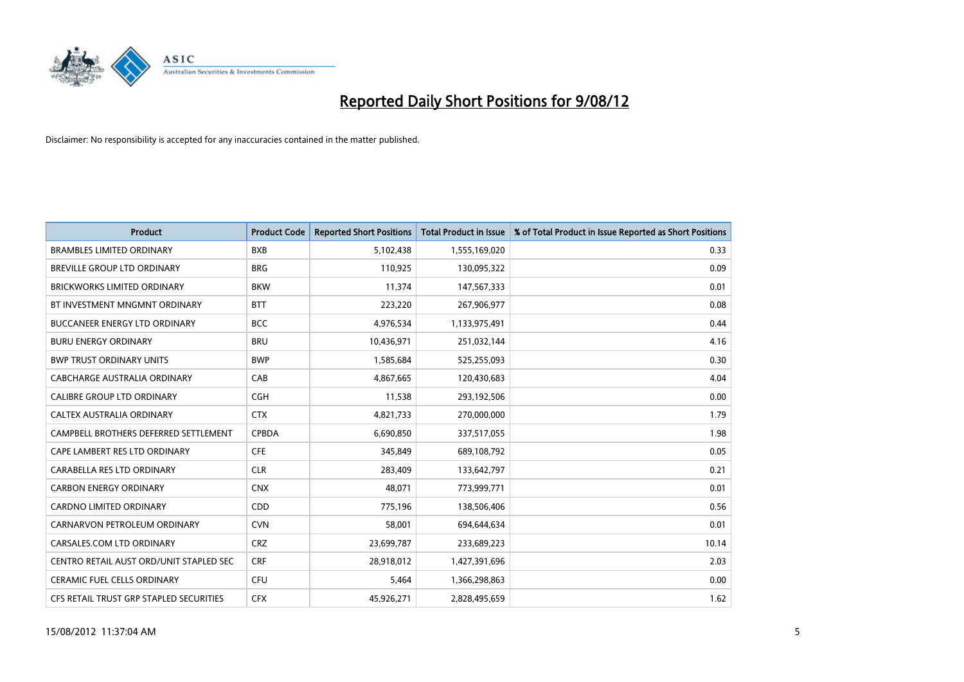

| <b>Product</b>                          | <b>Product Code</b> | <b>Reported Short Positions</b> | <b>Total Product in Issue</b> | % of Total Product in Issue Reported as Short Positions |
|-----------------------------------------|---------------------|---------------------------------|-------------------------------|---------------------------------------------------------|
| <b>BRAMBLES LIMITED ORDINARY</b>        | <b>BXB</b>          | 5,102,438                       | 1,555,169,020                 | 0.33                                                    |
| BREVILLE GROUP LTD ORDINARY             | <b>BRG</b>          | 110,925                         | 130,095,322                   | 0.09                                                    |
| <b>BRICKWORKS LIMITED ORDINARY</b>      | <b>BKW</b>          | 11,374                          | 147,567,333                   | 0.01                                                    |
| BT INVESTMENT MNGMNT ORDINARY           | <b>BTT</b>          | 223,220                         | 267,906,977                   | 0.08                                                    |
| <b>BUCCANEER ENERGY LTD ORDINARY</b>    | <b>BCC</b>          | 4,976,534                       | 1,133,975,491                 | 0.44                                                    |
| <b>BURU ENERGY ORDINARY</b>             | <b>BRU</b>          | 10,436,971                      | 251,032,144                   | 4.16                                                    |
| <b>BWP TRUST ORDINARY UNITS</b>         | <b>BWP</b>          | 1,585,684                       | 525,255,093                   | 0.30                                                    |
| CABCHARGE AUSTRALIA ORDINARY            | CAB                 | 4,867,665                       | 120,430,683                   | 4.04                                                    |
| CALIBRE GROUP LTD ORDINARY              | <b>CGH</b>          | 11,538                          | 293,192,506                   | 0.00                                                    |
| <b>CALTEX AUSTRALIA ORDINARY</b>        | <b>CTX</b>          | 4,821,733                       | 270,000,000                   | 1.79                                                    |
| CAMPBELL BROTHERS DEFERRED SETTLEMENT   | <b>CPBDA</b>        | 6,690,850                       | 337,517,055                   | 1.98                                                    |
| CAPE LAMBERT RES LTD ORDINARY           | <b>CFE</b>          | 345,849                         | 689,108,792                   | 0.05                                                    |
| CARABELLA RES LTD ORDINARY              | <b>CLR</b>          | 283,409                         | 133,642,797                   | 0.21                                                    |
| <b>CARBON ENERGY ORDINARY</b>           | <b>CNX</b>          | 48,071                          | 773,999,771                   | 0.01                                                    |
| <b>CARDNO LIMITED ORDINARY</b>          | CD <sub>D</sub>     | 775,196                         | 138,506,406                   | 0.56                                                    |
| CARNARVON PETROLEUM ORDINARY            | <b>CVN</b>          | 58,001                          | 694,644,634                   | 0.01                                                    |
| CARSALES.COM LTD ORDINARY               | <b>CRZ</b>          | 23,699,787                      | 233,689,223                   | 10.14                                                   |
| CENTRO RETAIL AUST ORD/UNIT STAPLED SEC | <b>CRF</b>          | 28,918,012                      | 1,427,391,696                 | 2.03                                                    |
| <b>CERAMIC FUEL CELLS ORDINARY</b>      | CFU                 | 5,464                           | 1,366,298,863                 | 0.00                                                    |
| CFS RETAIL TRUST GRP STAPLED SECURITIES | <b>CFX</b>          | 45,926,271                      | 2,828,495,659                 | 1.62                                                    |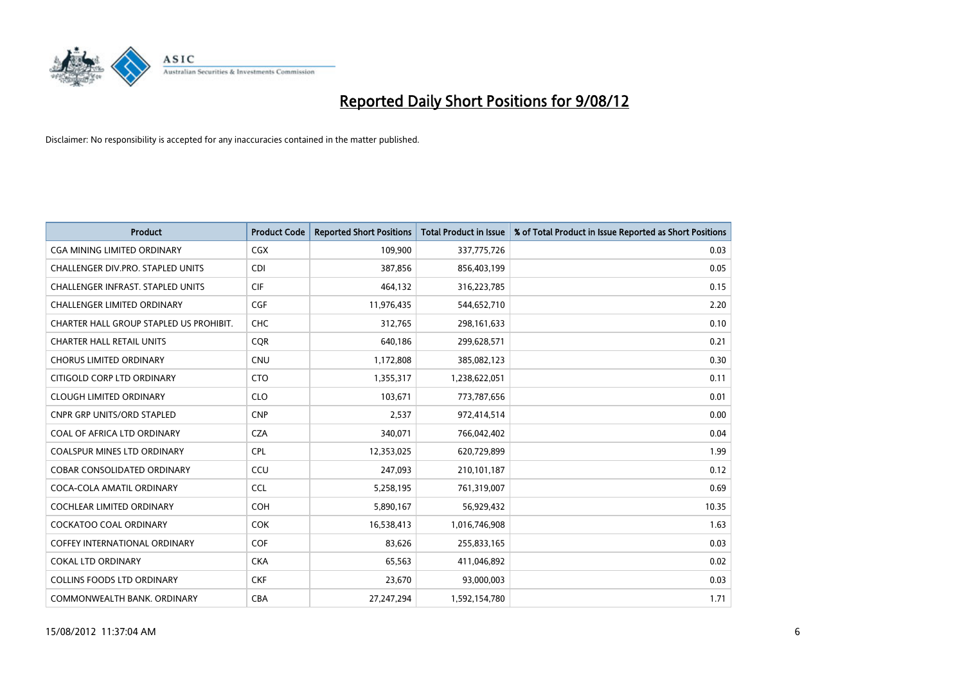

| <b>Product</b>                           | <b>Product Code</b> | <b>Reported Short Positions</b> | <b>Total Product in Issue</b> | % of Total Product in Issue Reported as Short Positions |
|------------------------------------------|---------------------|---------------------------------|-------------------------------|---------------------------------------------------------|
| <b>CGA MINING LIMITED ORDINARY</b>       | <b>CGX</b>          | 109,900                         | 337,775,726                   | 0.03                                                    |
| CHALLENGER DIV.PRO. STAPLED UNITS        | <b>CDI</b>          | 387,856                         | 856,403,199                   | 0.05                                                    |
| <b>CHALLENGER INFRAST, STAPLED UNITS</b> | <b>CIF</b>          | 464,132                         | 316,223,785                   | 0.15                                                    |
| CHALLENGER LIMITED ORDINARY              | <b>CGF</b>          | 11,976,435                      | 544,652,710                   | 2.20                                                    |
| CHARTER HALL GROUP STAPLED US PROHIBIT.  | <b>CHC</b>          | 312,765                         | 298,161,633                   | 0.10                                                    |
| <b>CHARTER HALL RETAIL UNITS</b>         | <b>CQR</b>          | 640,186                         | 299,628,571                   | 0.21                                                    |
| <b>CHORUS LIMITED ORDINARY</b>           | <b>CNU</b>          | 1,172,808                       | 385,082,123                   | 0.30                                                    |
| CITIGOLD CORP LTD ORDINARY               | <b>CTO</b>          | 1,355,317                       | 1,238,622,051                 | 0.11                                                    |
| <b>CLOUGH LIMITED ORDINARY</b>           | <b>CLO</b>          | 103,671                         | 773,787,656                   | 0.01                                                    |
| <b>CNPR GRP UNITS/ORD STAPLED</b>        | <b>CNP</b>          | 2,537                           | 972,414,514                   | 0.00                                                    |
| COAL OF AFRICA LTD ORDINARY              | <b>CZA</b>          | 340,071                         | 766,042,402                   | 0.04                                                    |
| <b>COALSPUR MINES LTD ORDINARY</b>       | <b>CPL</b>          | 12,353,025                      | 620,729,899                   | 1.99                                                    |
| <b>COBAR CONSOLIDATED ORDINARY</b>       | CCU                 | 247,093                         | 210,101,187                   | 0.12                                                    |
| COCA-COLA AMATIL ORDINARY                | <b>CCL</b>          | 5,258,195                       | 761,319,007                   | 0.69                                                    |
| <b>COCHLEAR LIMITED ORDINARY</b>         | <b>COH</b>          | 5,890,167                       | 56,929,432                    | 10.35                                                   |
| <b>COCKATOO COAL ORDINARY</b>            | <b>COK</b>          | 16,538,413                      | 1,016,746,908                 | 1.63                                                    |
| <b>COFFEY INTERNATIONAL ORDINARY</b>     | <b>COF</b>          | 83,626                          | 255,833,165                   | 0.03                                                    |
| <b>COKAL LTD ORDINARY</b>                | <b>CKA</b>          | 65,563                          | 411,046,892                   | 0.02                                                    |
| <b>COLLINS FOODS LTD ORDINARY</b>        | <b>CKF</b>          | 23,670                          | 93,000,003                    | 0.03                                                    |
| COMMONWEALTH BANK, ORDINARY              | <b>CBA</b>          | 27,247,294                      | 1,592,154,780                 | 1.71                                                    |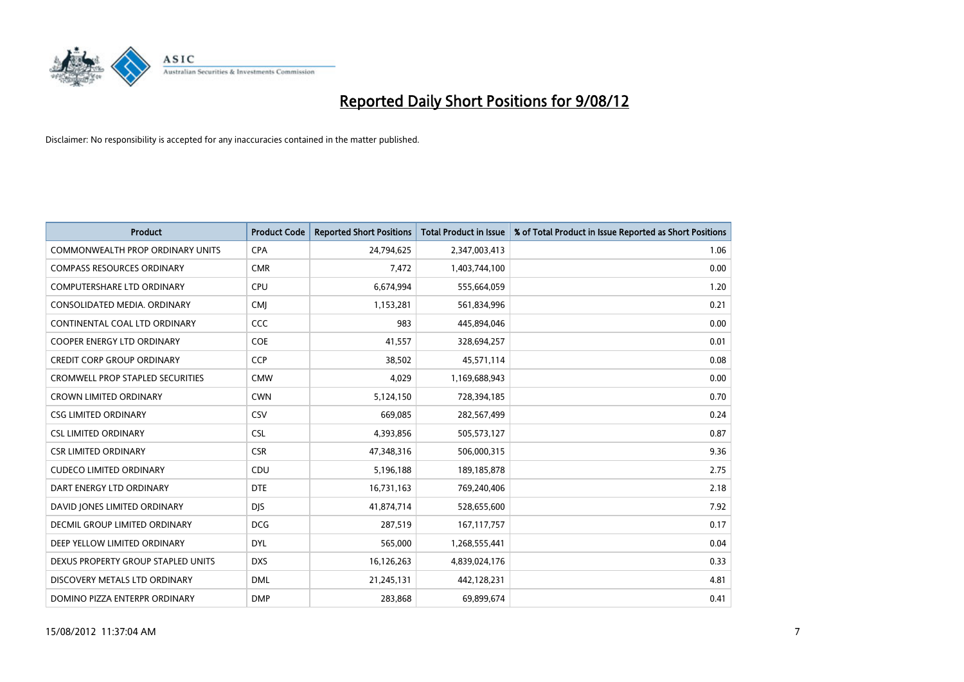

| <b>Product</b>                          | <b>Product Code</b> | <b>Reported Short Positions</b> | <b>Total Product in Issue</b> | % of Total Product in Issue Reported as Short Positions |
|-----------------------------------------|---------------------|---------------------------------|-------------------------------|---------------------------------------------------------|
| <b>COMMONWEALTH PROP ORDINARY UNITS</b> | <b>CPA</b>          | 24,794,625                      | 2,347,003,413                 | 1.06                                                    |
| <b>COMPASS RESOURCES ORDINARY</b>       | <b>CMR</b>          | 7,472                           | 1,403,744,100                 | 0.00                                                    |
| <b>COMPUTERSHARE LTD ORDINARY</b>       | <b>CPU</b>          | 6,674,994                       | 555,664,059                   | 1.20                                                    |
| CONSOLIDATED MEDIA. ORDINARY            | <b>CMJ</b>          | 1,153,281                       | 561,834,996                   | 0.21                                                    |
| CONTINENTAL COAL LTD ORDINARY           | <b>CCC</b>          | 983                             | 445,894,046                   | 0.00                                                    |
| <b>COOPER ENERGY LTD ORDINARY</b>       | COE                 | 41,557                          | 328,694,257                   | 0.01                                                    |
| <b>CREDIT CORP GROUP ORDINARY</b>       | <b>CCP</b>          | 38,502                          | 45,571,114                    | 0.08                                                    |
| CROMWELL PROP STAPLED SECURITIES        | <b>CMW</b>          | 4,029                           | 1,169,688,943                 | 0.00                                                    |
| <b>CROWN LIMITED ORDINARY</b>           | <b>CWN</b>          | 5,124,150                       | 728,394,185                   | 0.70                                                    |
| <b>CSG LIMITED ORDINARY</b>             | CSV                 | 669.085                         | 282,567,499                   | 0.24                                                    |
| <b>CSL LIMITED ORDINARY</b>             | <b>CSL</b>          | 4,393,856                       | 505,573,127                   | 0.87                                                    |
| <b>CSR LIMITED ORDINARY</b>             | <b>CSR</b>          | 47,348,316                      | 506,000,315                   | 9.36                                                    |
| <b>CUDECO LIMITED ORDINARY</b>          | CDU                 | 5,196,188                       | 189, 185, 878                 | 2.75                                                    |
| DART ENERGY LTD ORDINARY                | <b>DTE</b>          | 16,731,163                      | 769,240,406                   | 2.18                                                    |
| DAVID JONES LIMITED ORDINARY            | <b>DIS</b>          | 41,874,714                      | 528,655,600                   | 7.92                                                    |
| DECMIL GROUP LIMITED ORDINARY           | <b>DCG</b>          | 287,519                         | 167, 117, 757                 | 0.17                                                    |
| DEEP YELLOW LIMITED ORDINARY            | <b>DYL</b>          | 565,000                         | 1,268,555,441                 | 0.04                                                    |
| DEXUS PROPERTY GROUP STAPLED UNITS      | <b>DXS</b>          | 16,126,263                      | 4,839,024,176                 | 0.33                                                    |
| DISCOVERY METALS LTD ORDINARY           | <b>DML</b>          | 21,245,131                      | 442,128,231                   | 4.81                                                    |
| DOMINO PIZZA ENTERPR ORDINARY           | <b>DMP</b>          | 283,868                         | 69,899,674                    | 0.41                                                    |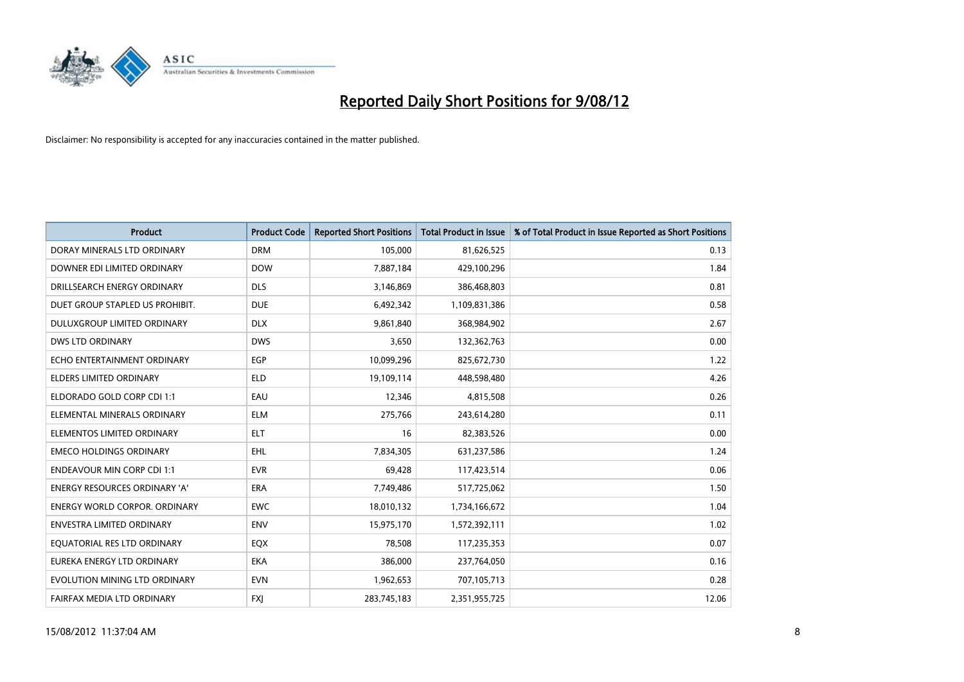

| <b>Product</b>                       | <b>Product Code</b> | <b>Reported Short Positions</b> | <b>Total Product in Issue</b> | % of Total Product in Issue Reported as Short Positions |
|--------------------------------------|---------------------|---------------------------------|-------------------------------|---------------------------------------------------------|
| DORAY MINERALS LTD ORDINARY          | <b>DRM</b>          | 105,000                         | 81,626,525                    | 0.13                                                    |
| DOWNER EDI LIMITED ORDINARY          | <b>DOW</b>          | 7,887,184                       | 429,100,296                   | 1.84                                                    |
| DRILLSEARCH ENERGY ORDINARY          | <b>DLS</b>          | 3,146,869                       | 386,468,803                   | 0.81                                                    |
| DUET GROUP STAPLED US PROHIBIT.      | <b>DUE</b>          | 6,492,342                       | 1,109,831,386                 | 0.58                                                    |
| <b>DULUXGROUP LIMITED ORDINARY</b>   | <b>DLX</b>          | 9,861,840                       | 368,984,902                   | 2.67                                                    |
| <b>DWS LTD ORDINARY</b>              | <b>DWS</b>          | 3,650                           | 132,362,763                   | 0.00                                                    |
| ECHO ENTERTAINMENT ORDINARY          | <b>EGP</b>          | 10,099,296                      | 825,672,730                   | 1.22                                                    |
| ELDERS LIMITED ORDINARY              | <b>ELD</b>          | 19,109,114                      | 448,598,480                   | 4.26                                                    |
| ELDORADO GOLD CORP CDI 1:1           | EAU                 | 12,346                          | 4,815,508                     | 0.26                                                    |
| ELEMENTAL MINERALS ORDINARY          | <b>ELM</b>          | 275,766                         | 243,614,280                   | 0.11                                                    |
| ELEMENTOS LIMITED ORDINARY           | <b>ELT</b>          | 16                              | 82,383,526                    | 0.00                                                    |
| <b>EMECO HOLDINGS ORDINARY</b>       | <b>EHL</b>          | 7,834,305                       | 631,237,586                   | 1.24                                                    |
| <b>ENDEAVOUR MIN CORP CDI 1:1</b>    | <b>EVR</b>          | 69,428                          | 117,423,514                   | 0.06                                                    |
| ENERGY RESOURCES ORDINARY 'A'        | <b>ERA</b>          | 7,749,486                       | 517,725,062                   | 1.50                                                    |
| <b>ENERGY WORLD CORPOR, ORDINARY</b> | <b>EWC</b>          | 18,010,132                      | 1,734,166,672                 | 1.04                                                    |
| ENVESTRA LIMITED ORDINARY            | <b>ENV</b>          | 15,975,170                      | 1,572,392,111                 | 1.02                                                    |
| EQUATORIAL RES LTD ORDINARY          | EQX                 | 78,508                          | 117,235,353                   | 0.07                                                    |
| EUREKA ENERGY LTD ORDINARY           | <b>EKA</b>          | 386,000                         | 237,764,050                   | 0.16                                                    |
| EVOLUTION MINING LTD ORDINARY        | <b>EVN</b>          | 1,962,653                       | 707,105,713                   | 0.28                                                    |
| FAIRFAX MEDIA LTD ORDINARY           | <b>FXI</b>          | 283,745,183                     | 2,351,955,725                 | 12.06                                                   |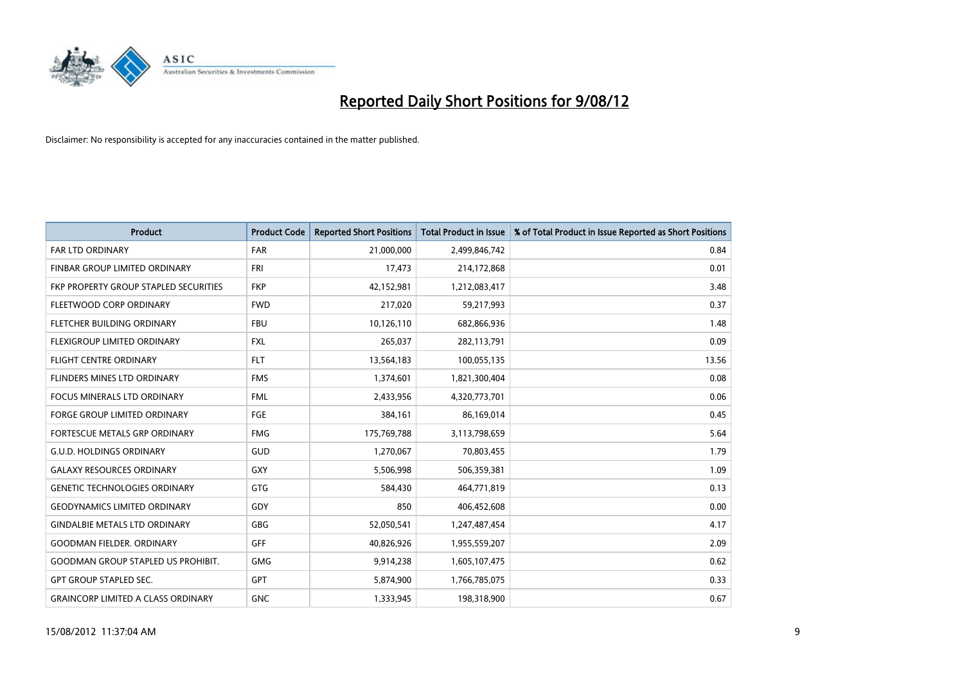

| <b>Product</b>                            | <b>Product Code</b> | <b>Reported Short Positions</b> | <b>Total Product in Issue</b> | % of Total Product in Issue Reported as Short Positions |
|-------------------------------------------|---------------------|---------------------------------|-------------------------------|---------------------------------------------------------|
| <b>FAR LTD ORDINARY</b>                   | FAR                 | 21,000,000                      | 2,499,846,742                 | 0.84                                                    |
| FINBAR GROUP LIMITED ORDINARY             | <b>FRI</b>          | 17,473                          | 214,172,868                   | 0.01                                                    |
| FKP PROPERTY GROUP STAPLED SECURITIES     | <b>FKP</b>          | 42,152,981                      | 1,212,083,417                 | 3.48                                                    |
| FLEETWOOD CORP ORDINARY                   | <b>FWD</b>          | 217,020                         | 59,217,993                    | 0.37                                                    |
| FLETCHER BUILDING ORDINARY                | <b>FBU</b>          | 10,126,110                      | 682,866,936                   | 1.48                                                    |
| <b>FLEXIGROUP LIMITED ORDINARY</b>        | <b>FXL</b>          | 265,037                         | 282,113,791                   | 0.09                                                    |
| <b>FLIGHT CENTRE ORDINARY</b>             | <b>FLT</b>          | 13,564,183                      | 100,055,135                   | 13.56                                                   |
| FLINDERS MINES LTD ORDINARY               | <b>FMS</b>          | 1,374,601                       | 1,821,300,404                 | 0.08                                                    |
| FOCUS MINERALS LTD ORDINARY               | <b>FML</b>          | 2,433,956                       | 4,320,773,701                 | 0.06                                                    |
| <b>FORGE GROUP LIMITED ORDINARY</b>       | FGE                 | 384,161                         | 86,169,014                    | 0.45                                                    |
| FORTESCUE METALS GRP ORDINARY             | <b>FMG</b>          | 175,769,788                     | 3,113,798,659                 | 5.64                                                    |
| <b>G.U.D. HOLDINGS ORDINARY</b>           | GUD                 | 1,270,067                       | 70,803,455                    | 1.79                                                    |
| <b>GALAXY RESOURCES ORDINARY</b>          | <b>GXY</b>          | 5,506,998                       | 506,359,381                   | 1.09                                                    |
| <b>GENETIC TECHNOLOGIES ORDINARY</b>      | <b>GTG</b>          | 584,430                         | 464,771,819                   | 0.13                                                    |
| <b>GEODYNAMICS LIMITED ORDINARY</b>       | GDY                 | 850                             | 406,452,608                   | 0.00                                                    |
| <b>GINDALBIE METALS LTD ORDINARY</b>      | <b>GBG</b>          | 52,050,541                      | 1,247,487,454                 | 4.17                                                    |
| <b>GOODMAN FIELDER, ORDINARY</b>          | <b>GFF</b>          | 40,826,926                      | 1,955,559,207                 | 2.09                                                    |
| <b>GOODMAN GROUP STAPLED US PROHIBIT.</b> | <b>GMG</b>          | 9,914,238                       | 1,605,107,475                 | 0.62                                                    |
| <b>GPT GROUP STAPLED SEC.</b>             | <b>GPT</b>          | 5,874,900                       | 1,766,785,075                 | 0.33                                                    |
| <b>GRAINCORP LIMITED A CLASS ORDINARY</b> | <b>GNC</b>          | 1,333,945                       | 198,318,900                   | 0.67                                                    |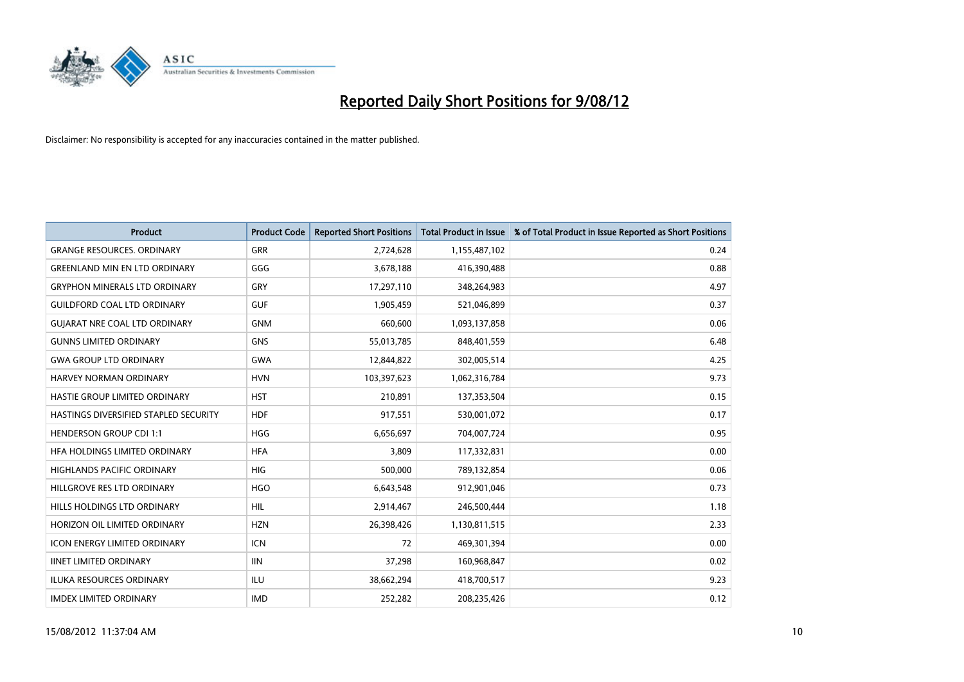

| <b>Product</b>                        | <b>Product Code</b> | <b>Reported Short Positions</b> | <b>Total Product in Issue</b> | % of Total Product in Issue Reported as Short Positions |
|---------------------------------------|---------------------|---------------------------------|-------------------------------|---------------------------------------------------------|
| <b>GRANGE RESOURCES, ORDINARY</b>     | <b>GRR</b>          | 2,724,628                       | 1,155,487,102                 | 0.24                                                    |
| <b>GREENLAND MIN EN LTD ORDINARY</b>  | GGG                 | 3,678,188                       | 416,390,488                   | 0.88                                                    |
| <b>GRYPHON MINERALS LTD ORDINARY</b>  | GRY                 | 17,297,110                      | 348,264,983                   | 4.97                                                    |
| <b>GUILDFORD COAL LTD ORDINARY</b>    | <b>GUF</b>          | 1,905,459                       | 521,046,899                   | 0.37                                                    |
| <b>GUIARAT NRE COAL LTD ORDINARY</b>  | <b>GNM</b>          | 660,600                         | 1,093,137,858                 | 0.06                                                    |
| <b>GUNNS LIMITED ORDINARY</b>         | <b>GNS</b>          | 55,013,785                      | 848,401,559                   | 6.48                                                    |
| <b>GWA GROUP LTD ORDINARY</b>         | <b>GWA</b>          | 12,844,822                      | 302,005,514                   | 4.25                                                    |
| HARVEY NORMAN ORDINARY                | <b>HVN</b>          | 103,397,623                     | 1,062,316,784                 | 9.73                                                    |
| HASTIE GROUP LIMITED ORDINARY         | <b>HST</b>          | 210,891                         | 137,353,504                   | 0.15                                                    |
| HASTINGS DIVERSIFIED STAPLED SECURITY | <b>HDF</b>          | 917,551                         | 530,001,072                   | 0.17                                                    |
| <b>HENDERSON GROUP CDI 1:1</b>        | <b>HGG</b>          | 6,656,697                       | 704,007,724                   | 0.95                                                    |
| HFA HOLDINGS LIMITED ORDINARY         | <b>HFA</b>          | 3,809                           | 117,332,831                   | 0.00                                                    |
| HIGHLANDS PACIFIC ORDINARY            | <b>HIG</b>          | 500,000                         | 789,132,854                   | 0.06                                                    |
| HILLGROVE RES LTD ORDINARY            | <b>HGO</b>          | 6,643,548                       | 912,901,046                   | 0.73                                                    |
| HILLS HOLDINGS LTD ORDINARY           | <b>HIL</b>          | 2,914,467                       | 246,500,444                   | 1.18                                                    |
| HORIZON OIL LIMITED ORDINARY          | <b>HZN</b>          | 26,398,426                      | 1,130,811,515                 | 2.33                                                    |
| ICON ENERGY LIMITED ORDINARY          | <b>ICN</b>          | 72                              | 469,301,394                   | 0.00                                                    |
| <b>IINET LIMITED ORDINARY</b>         | <b>IIN</b>          | 37,298                          | 160,968,847                   | 0.02                                                    |
| <b>ILUKA RESOURCES ORDINARY</b>       | ILU                 | 38,662,294                      | 418,700,517                   | 9.23                                                    |
| <b>IMDEX LIMITED ORDINARY</b>         | <b>IMD</b>          | 252,282                         | 208,235,426                   | 0.12                                                    |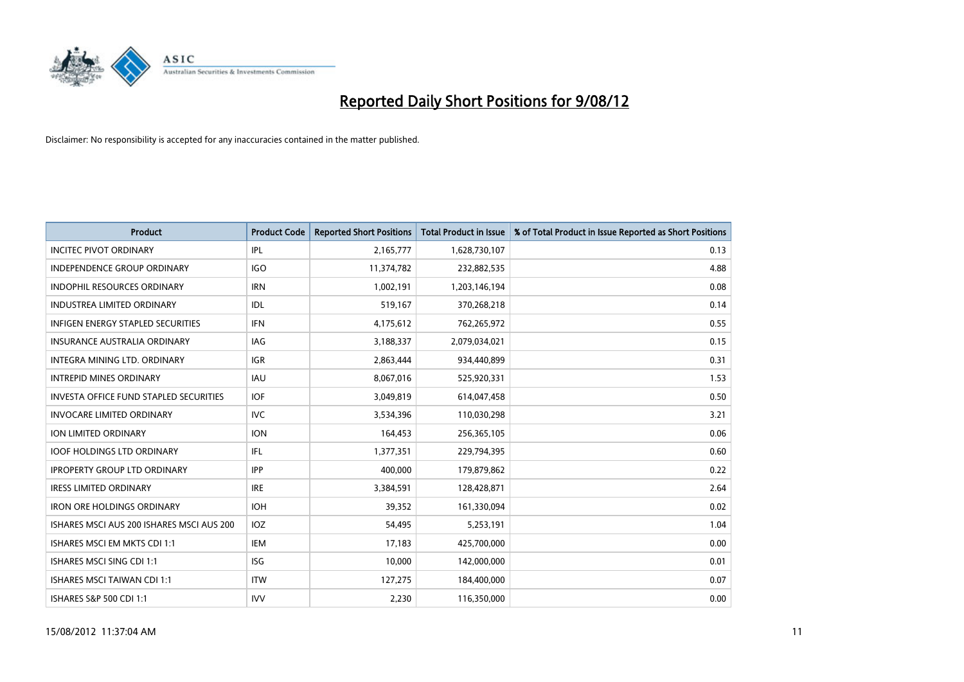

| <b>Product</b>                            | <b>Product Code</b> | <b>Reported Short Positions</b> | <b>Total Product in Issue</b> | % of Total Product in Issue Reported as Short Positions |
|-------------------------------------------|---------------------|---------------------------------|-------------------------------|---------------------------------------------------------|
| <b>INCITEC PIVOT ORDINARY</b>             | IPL                 | 2,165,777                       | 1,628,730,107                 | 0.13                                                    |
| INDEPENDENCE GROUP ORDINARY               | <b>IGO</b>          | 11,374,782                      | 232,882,535                   | 4.88                                                    |
| <b>INDOPHIL RESOURCES ORDINARY</b>        | <b>IRN</b>          | 1,002,191                       | 1,203,146,194                 | 0.08                                                    |
| <b>INDUSTREA LIMITED ORDINARY</b>         | <b>IDL</b>          | 519,167                         | 370,268,218                   | 0.14                                                    |
| <b>INFIGEN ENERGY STAPLED SECURITIES</b>  | <b>IFN</b>          | 4,175,612                       | 762,265,972                   | 0.55                                                    |
| <b>INSURANCE AUSTRALIA ORDINARY</b>       | IAG                 | 3,188,337                       | 2,079,034,021                 | 0.15                                                    |
| INTEGRA MINING LTD. ORDINARY              | <b>IGR</b>          | 2,863,444                       | 934,440,899                   | 0.31                                                    |
| <b>INTREPID MINES ORDINARY</b>            | <b>IAU</b>          | 8,067,016                       | 525,920,331                   | 1.53                                                    |
| INVESTA OFFICE FUND STAPLED SECURITIES    | <b>IOF</b>          | 3,049,819                       | 614,047,458                   | 0.50                                                    |
| <b>INVOCARE LIMITED ORDINARY</b>          | <b>IVC</b>          | 3,534,396                       | 110,030,298                   | 3.21                                                    |
| ION LIMITED ORDINARY                      | <b>ION</b>          | 164,453                         | 256,365,105                   | 0.06                                                    |
| <b>IOOF HOLDINGS LTD ORDINARY</b>         | <b>IFL</b>          | 1,377,351                       | 229,794,395                   | 0.60                                                    |
| <b>IPROPERTY GROUP LTD ORDINARY</b>       | <b>IPP</b>          | 400,000                         | 179,879,862                   | 0.22                                                    |
| <b>IRESS LIMITED ORDINARY</b>             | <b>IRE</b>          | 3,384,591                       | 128,428,871                   | 2.64                                                    |
| <b>IRON ORE HOLDINGS ORDINARY</b>         | <b>IOH</b>          | 39,352                          | 161,330,094                   | 0.02                                                    |
| ISHARES MSCI AUS 200 ISHARES MSCI AUS 200 | IOZ                 | 54,495                          | 5,253,191                     | 1.04                                                    |
| ISHARES MSCI EM MKTS CDI 1:1              | <b>IEM</b>          | 17,183                          | 425,700,000                   | 0.00                                                    |
| ISHARES MSCI SING CDI 1:1                 | <b>ISG</b>          | 10,000                          | 142,000,000                   | 0.01                                                    |
| <b>ISHARES MSCI TAIWAN CDI 1:1</b>        | <b>ITW</b>          | 127,275                         | 184,400,000                   | 0.07                                                    |
| ISHARES S&P 500 CDI 1:1                   | <b>IVV</b>          | 2,230                           | 116,350,000                   | 0.00                                                    |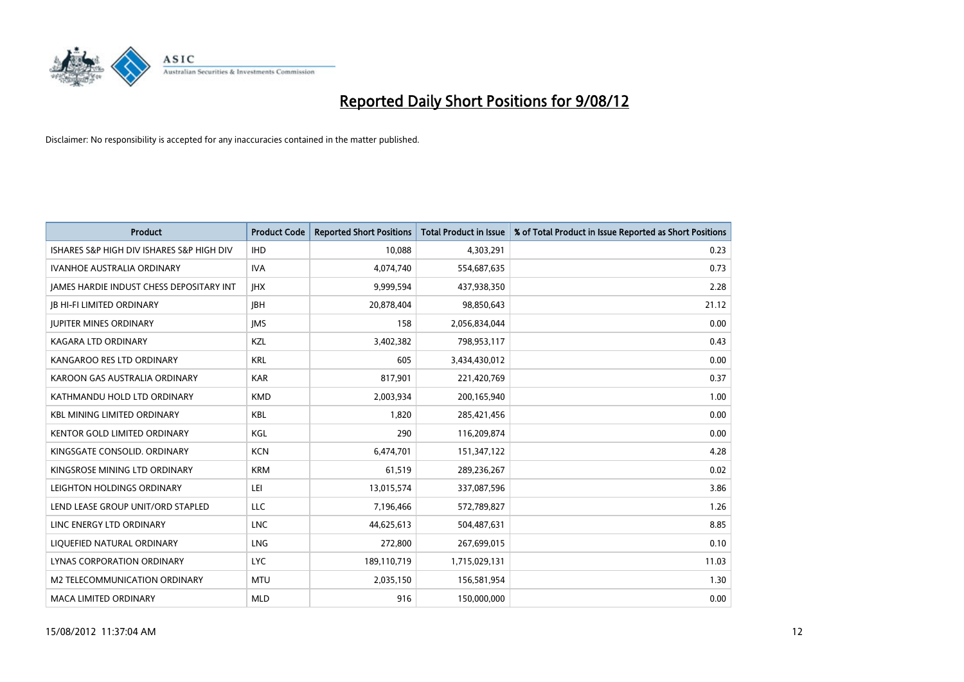

| <b>Product</b>                            | <b>Product Code</b> | <b>Reported Short Positions</b> | <b>Total Product in Issue</b> | % of Total Product in Issue Reported as Short Positions |
|-------------------------------------------|---------------------|---------------------------------|-------------------------------|---------------------------------------------------------|
| ISHARES S&P HIGH DIV ISHARES S&P HIGH DIV | <b>IHD</b>          | 10,088                          | 4,303,291                     | 0.23                                                    |
| <b>IVANHOE AUSTRALIA ORDINARY</b>         | <b>IVA</b>          | 4,074,740                       | 554,687,635                   | 0.73                                                    |
| JAMES HARDIE INDUST CHESS DEPOSITARY INT  | <b>IHX</b>          | 9,999,594                       | 437,938,350                   | 2.28                                                    |
| <b>JB HI-FI LIMITED ORDINARY</b>          | <b>IBH</b>          | 20,878,404                      | 98,850,643                    | 21.12                                                   |
| <b>JUPITER MINES ORDINARY</b>             | <b>IMS</b>          | 158                             | 2,056,834,044                 | 0.00                                                    |
| <b>KAGARA LTD ORDINARY</b>                | <b>KZL</b>          | 3,402,382                       | 798,953,117                   | 0.43                                                    |
| KANGAROO RES LTD ORDINARY                 | <b>KRL</b>          | 605                             | 3,434,430,012                 | 0.00                                                    |
| KAROON GAS AUSTRALIA ORDINARY             | <b>KAR</b>          | 817,901                         | 221,420,769                   | 0.37                                                    |
| KATHMANDU HOLD LTD ORDINARY               | <b>KMD</b>          | 2,003,934                       | 200,165,940                   | 1.00                                                    |
| <b>KBL MINING LIMITED ORDINARY</b>        | <b>KBL</b>          | 1,820                           | 285,421,456                   | 0.00                                                    |
| KENTOR GOLD LIMITED ORDINARY              | KGL                 | 290                             | 116,209,874                   | 0.00                                                    |
| KINGSGATE CONSOLID, ORDINARY              | <b>KCN</b>          | 6,474,701                       | 151,347,122                   | 4.28                                                    |
| KINGSROSE MINING LTD ORDINARY             | <b>KRM</b>          | 61,519                          | 289,236,267                   | 0.02                                                    |
| LEIGHTON HOLDINGS ORDINARY                | LEI                 | 13,015,574                      | 337,087,596                   | 3.86                                                    |
| LEND LEASE GROUP UNIT/ORD STAPLED         | <b>LLC</b>          | 7,196,466                       | 572,789,827                   | 1.26                                                    |
| LINC ENERGY LTD ORDINARY                  | <b>LNC</b>          | 44,625,613                      | 504,487,631                   | 8.85                                                    |
| LIQUEFIED NATURAL ORDINARY                | LNG                 | 272,800                         | 267,699,015                   | 0.10                                                    |
| LYNAS CORPORATION ORDINARY                | <b>LYC</b>          | 189,110,719                     | 1,715,029,131                 | 11.03                                                   |
| <b>M2 TELECOMMUNICATION ORDINARY</b>      | <b>MTU</b>          | 2,035,150                       | 156,581,954                   | 1.30                                                    |
| MACA LIMITED ORDINARY                     | <b>MLD</b>          | 916                             | 150,000,000                   | 0.00                                                    |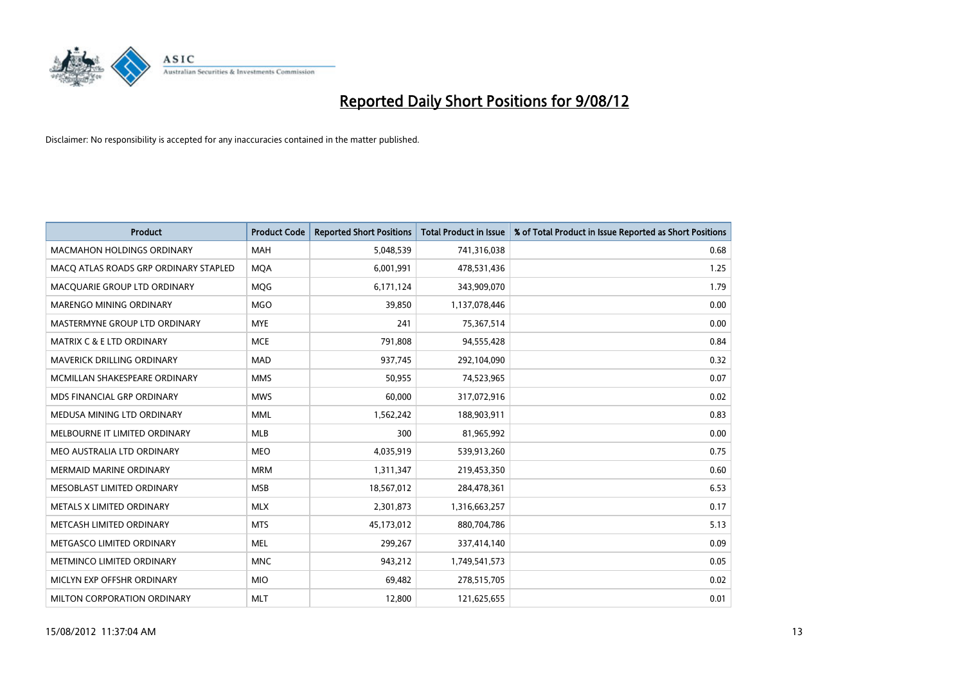

| <b>Product</b>                        | <b>Product Code</b> | <b>Reported Short Positions</b> | <b>Total Product in Issue</b> | % of Total Product in Issue Reported as Short Positions |
|---------------------------------------|---------------------|---------------------------------|-------------------------------|---------------------------------------------------------|
| <b>MACMAHON HOLDINGS ORDINARY</b>     | <b>MAH</b>          | 5,048,539                       | 741,316,038                   | 0.68                                                    |
| MACO ATLAS ROADS GRP ORDINARY STAPLED | <b>MOA</b>          | 6,001,991                       | 478,531,436                   | 1.25                                                    |
| MACQUARIE GROUP LTD ORDINARY          | <b>MOG</b>          | 6,171,124                       | 343,909,070                   | 1.79                                                    |
| <b>MARENGO MINING ORDINARY</b>        | <b>MGO</b>          | 39,850                          | 1,137,078,446                 | 0.00                                                    |
| MASTERMYNE GROUP LTD ORDINARY         | <b>MYE</b>          | 241                             | 75,367,514                    | 0.00                                                    |
| <b>MATRIX C &amp; E LTD ORDINARY</b>  | <b>MCE</b>          | 791,808                         | 94,555,428                    | 0.84                                                    |
| <b>MAVERICK DRILLING ORDINARY</b>     | <b>MAD</b>          | 937,745                         | 292,104,090                   | 0.32                                                    |
| MCMILLAN SHAKESPEARE ORDINARY         | <b>MMS</b>          | 50,955                          | 74,523,965                    | 0.07                                                    |
| MDS FINANCIAL GRP ORDINARY            | <b>MWS</b>          | 60,000                          | 317,072,916                   | 0.02                                                    |
| MEDUSA MINING LTD ORDINARY            | <b>MML</b>          | 1,562,242                       | 188,903,911                   | 0.83                                                    |
| MELBOURNE IT LIMITED ORDINARY         | <b>MLB</b>          | 300                             | 81,965,992                    | 0.00                                                    |
| MEO AUSTRALIA LTD ORDINARY            | <b>MEO</b>          | 4,035,919                       | 539,913,260                   | 0.75                                                    |
| MERMAID MARINE ORDINARY               | <b>MRM</b>          | 1,311,347                       | 219,453,350                   | 0.60                                                    |
| MESOBLAST LIMITED ORDINARY            | <b>MSB</b>          | 18,567,012                      | 284,478,361                   | 6.53                                                    |
| METALS X LIMITED ORDINARY             | <b>MLX</b>          | 2,301,873                       | 1,316,663,257                 | 0.17                                                    |
| METCASH LIMITED ORDINARY              | <b>MTS</b>          | 45,173,012                      | 880,704,786                   | 5.13                                                    |
| METGASCO LIMITED ORDINARY             | <b>MEL</b>          | 299,267                         | 337,414,140                   | 0.09                                                    |
| METMINCO LIMITED ORDINARY             | <b>MNC</b>          | 943,212                         | 1,749,541,573                 | 0.05                                                    |
| MICLYN EXP OFFSHR ORDINARY            | <b>MIO</b>          | 69,482                          | 278,515,705                   | 0.02                                                    |
| MILTON CORPORATION ORDINARY           | <b>MLT</b>          | 12,800                          | 121,625,655                   | 0.01                                                    |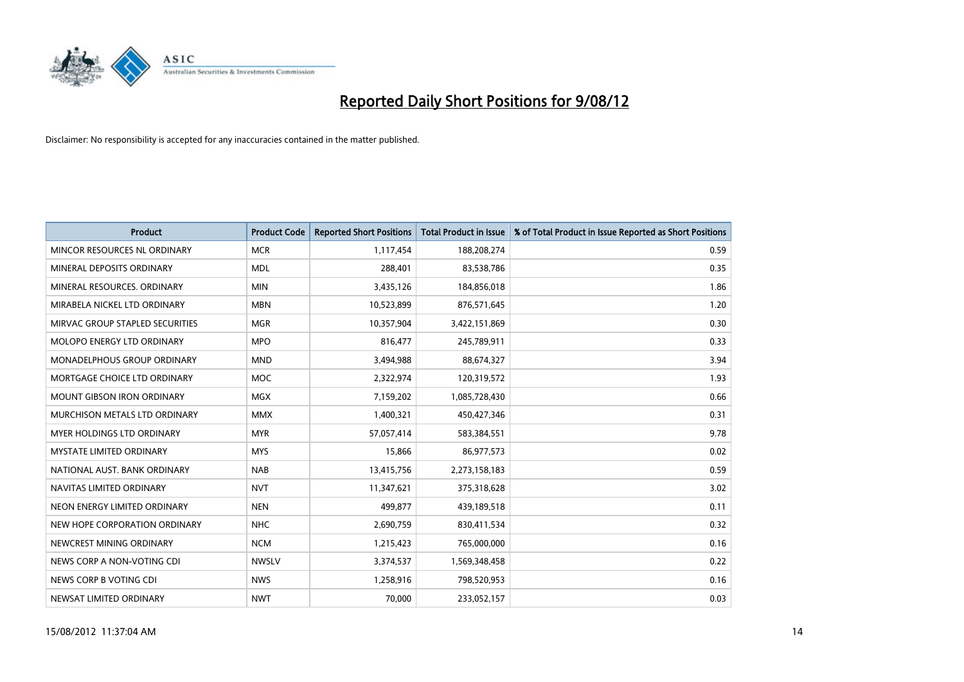

| <b>Product</b>                       | <b>Product Code</b> | <b>Reported Short Positions</b> | <b>Total Product in Issue</b> | % of Total Product in Issue Reported as Short Positions |
|--------------------------------------|---------------------|---------------------------------|-------------------------------|---------------------------------------------------------|
| MINCOR RESOURCES NL ORDINARY         | <b>MCR</b>          | 1,117,454                       | 188,208,274                   | 0.59                                                    |
| MINERAL DEPOSITS ORDINARY            | <b>MDL</b>          | 288,401                         | 83,538,786                    | 0.35                                                    |
| MINERAL RESOURCES, ORDINARY          | <b>MIN</b>          | 3,435,126                       | 184,856,018                   | 1.86                                                    |
| MIRABELA NICKEL LTD ORDINARY         | <b>MBN</b>          | 10,523,899                      | 876,571,645                   | 1.20                                                    |
| MIRVAC GROUP STAPLED SECURITIES      | <b>MGR</b>          | 10,357,904                      | 3,422,151,869                 | 0.30                                                    |
| MOLOPO ENERGY LTD ORDINARY           | <b>MPO</b>          | 816,477                         | 245,789,911                   | 0.33                                                    |
| <b>MONADELPHOUS GROUP ORDINARY</b>   | <b>MND</b>          | 3,494,988                       | 88,674,327                    | 3.94                                                    |
| MORTGAGE CHOICE LTD ORDINARY         | <b>MOC</b>          | 2,322,974                       | 120,319,572                   | 1.93                                                    |
| <b>MOUNT GIBSON IRON ORDINARY</b>    | <b>MGX</b>          | 7,159,202                       | 1,085,728,430                 | 0.66                                                    |
| <b>MURCHISON METALS LTD ORDINARY</b> | <b>MMX</b>          | 1,400,321                       | 450,427,346                   | 0.31                                                    |
| MYER HOLDINGS LTD ORDINARY           | <b>MYR</b>          | 57,057,414                      | 583,384,551                   | 9.78                                                    |
| <b>MYSTATE LIMITED ORDINARY</b>      | <b>MYS</b>          | 15,866                          | 86,977,573                    | 0.02                                                    |
| NATIONAL AUST, BANK ORDINARY         | <b>NAB</b>          | 13,415,756                      | 2,273,158,183                 | 0.59                                                    |
| NAVITAS LIMITED ORDINARY             | <b>NVT</b>          | 11,347,621                      | 375,318,628                   | 3.02                                                    |
| NEON ENERGY LIMITED ORDINARY         | <b>NEN</b>          | 499,877                         | 439,189,518                   | 0.11                                                    |
| NEW HOPE CORPORATION ORDINARY        | <b>NHC</b>          | 2,690,759                       | 830,411,534                   | 0.32                                                    |
| NEWCREST MINING ORDINARY             | <b>NCM</b>          | 1,215,423                       | 765,000,000                   | 0.16                                                    |
| NEWS CORP A NON-VOTING CDI           | <b>NWSLV</b>        | 3,374,537                       | 1,569,348,458                 | 0.22                                                    |
| NEWS CORP B VOTING CDI               | <b>NWS</b>          | 1,258,916                       | 798,520,953                   | 0.16                                                    |
| NEWSAT LIMITED ORDINARY              | <b>NWT</b>          | 70,000                          | 233,052,157                   | 0.03                                                    |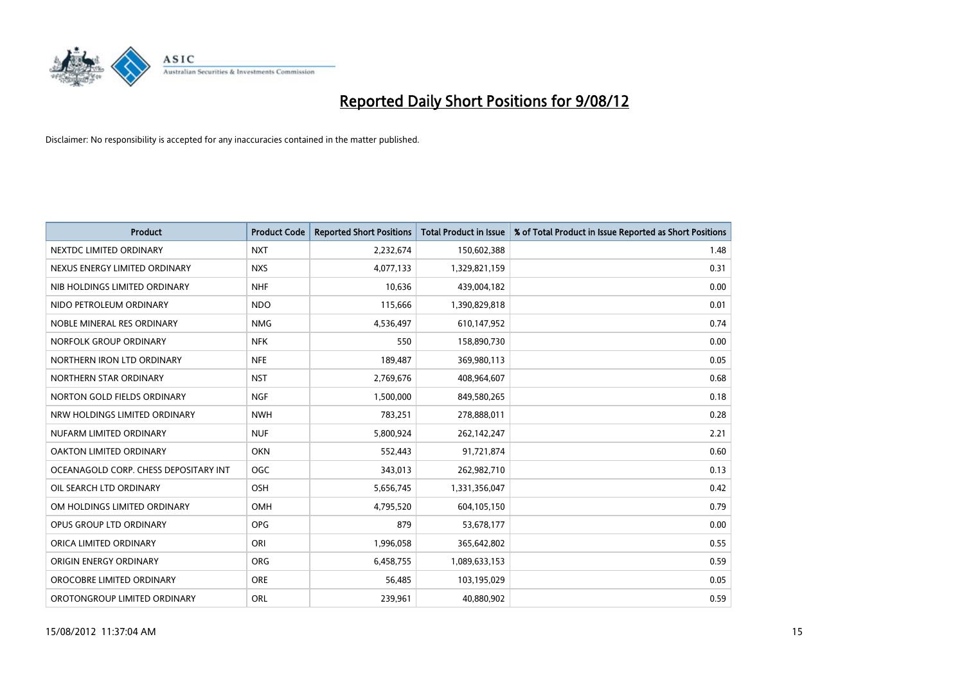

| <b>Product</b>                        | <b>Product Code</b> | <b>Reported Short Positions</b> | <b>Total Product in Issue</b> | % of Total Product in Issue Reported as Short Positions |
|---------------------------------------|---------------------|---------------------------------|-------------------------------|---------------------------------------------------------|
| NEXTDC LIMITED ORDINARY               | <b>NXT</b>          | 2,232,674                       | 150,602,388                   | 1.48                                                    |
| NEXUS ENERGY LIMITED ORDINARY         | <b>NXS</b>          | 4,077,133                       | 1,329,821,159                 | 0.31                                                    |
| NIB HOLDINGS LIMITED ORDINARY         | <b>NHF</b>          | 10,636                          | 439,004,182                   | 0.00                                                    |
| NIDO PETROLEUM ORDINARY               | <b>NDO</b>          | 115,666                         | 1,390,829,818                 | 0.01                                                    |
| NOBLE MINERAL RES ORDINARY            | <b>NMG</b>          | 4,536,497                       | 610,147,952                   | 0.74                                                    |
| NORFOLK GROUP ORDINARY                | <b>NFK</b>          | 550                             | 158,890,730                   | 0.00                                                    |
| NORTHERN IRON LTD ORDINARY            | <b>NFE</b>          | 189,487                         | 369,980,113                   | 0.05                                                    |
| NORTHERN STAR ORDINARY                | <b>NST</b>          | 2,769,676                       | 408,964,607                   | 0.68                                                    |
| NORTON GOLD FIELDS ORDINARY           | <b>NGF</b>          | 1,500,000                       | 849,580,265                   | 0.18                                                    |
| NRW HOLDINGS LIMITED ORDINARY         | <b>NWH</b>          | 783,251                         | 278,888,011                   | 0.28                                                    |
| NUFARM LIMITED ORDINARY               | <b>NUF</b>          | 5,800,924                       | 262,142,247                   | 2.21                                                    |
| OAKTON LIMITED ORDINARY               | <b>OKN</b>          | 552,443                         | 91,721,874                    | 0.60                                                    |
| OCEANAGOLD CORP. CHESS DEPOSITARY INT | <b>OGC</b>          | 343,013                         | 262,982,710                   | 0.13                                                    |
| OIL SEARCH LTD ORDINARY               | <b>OSH</b>          | 5,656,745                       | 1,331,356,047                 | 0.42                                                    |
| OM HOLDINGS LIMITED ORDINARY          | <b>OMH</b>          | 4,795,520                       | 604,105,150                   | 0.79                                                    |
| OPUS GROUP LTD ORDINARY               | <b>OPG</b>          | 879                             | 53,678,177                    | 0.00                                                    |
| ORICA LIMITED ORDINARY                | ORI                 | 1,996,058                       | 365,642,802                   | 0.55                                                    |
| ORIGIN ENERGY ORDINARY                | <b>ORG</b>          | 6,458,755                       | 1,089,633,153                 | 0.59                                                    |
| OROCOBRE LIMITED ORDINARY             | <b>ORE</b>          | 56,485                          | 103,195,029                   | 0.05                                                    |
| OROTONGROUP LIMITED ORDINARY          | <b>ORL</b>          | 239.961                         | 40,880,902                    | 0.59                                                    |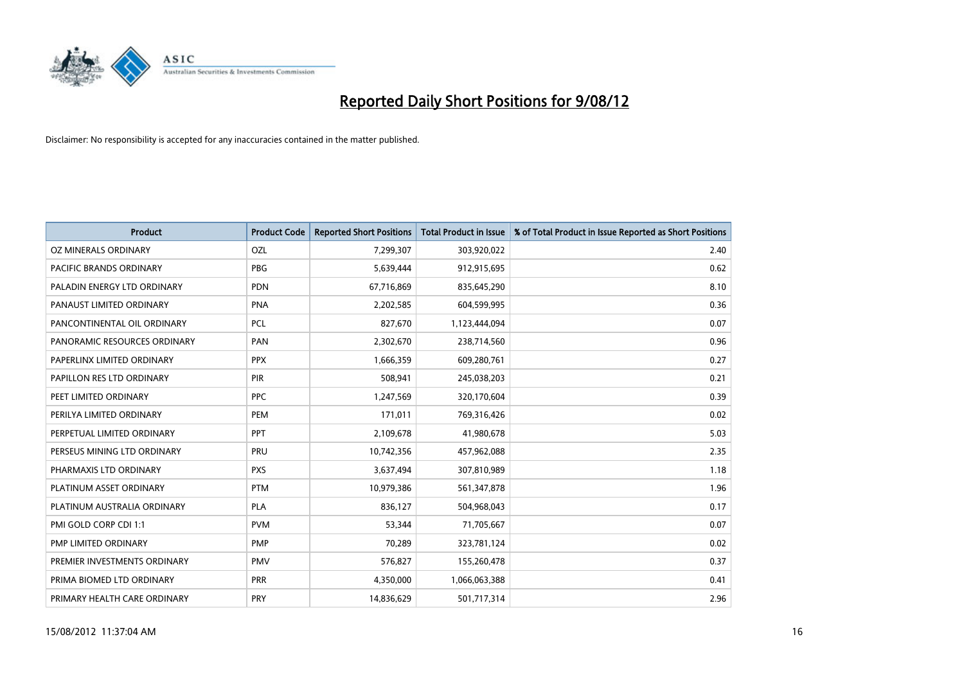

| <b>Product</b>               | <b>Product Code</b> | <b>Reported Short Positions</b> | <b>Total Product in Issue</b> | % of Total Product in Issue Reported as Short Positions |
|------------------------------|---------------------|---------------------------------|-------------------------------|---------------------------------------------------------|
| OZ MINERALS ORDINARY         | OZL                 | 7,299,307                       | 303,920,022                   | 2.40                                                    |
| PACIFIC BRANDS ORDINARY      | <b>PBG</b>          | 5,639,444                       | 912,915,695                   | 0.62                                                    |
| PALADIN ENERGY LTD ORDINARY  | <b>PDN</b>          | 67,716,869                      | 835,645,290                   | 8.10                                                    |
| PANAUST LIMITED ORDINARY     | <b>PNA</b>          | 2,202,585                       | 604,599,995                   | 0.36                                                    |
| PANCONTINENTAL OIL ORDINARY  | <b>PCL</b>          | 827,670                         | 1,123,444,094                 | 0.07                                                    |
| PANORAMIC RESOURCES ORDINARY | PAN                 | 2,302,670                       | 238,714,560                   | 0.96                                                    |
| PAPERLINX LIMITED ORDINARY   | <b>PPX</b>          | 1,666,359                       | 609,280,761                   | 0.27                                                    |
| PAPILLON RES LTD ORDINARY    | PIR                 | 508,941                         | 245,038,203                   | 0.21                                                    |
| PEET LIMITED ORDINARY        | <b>PPC</b>          | 1,247,569                       | 320,170,604                   | 0.39                                                    |
| PERILYA LIMITED ORDINARY     | PEM                 | 171,011                         | 769,316,426                   | 0.02                                                    |
| PERPETUAL LIMITED ORDINARY   | <b>PPT</b>          | 2,109,678                       | 41,980,678                    | 5.03                                                    |
| PERSEUS MINING LTD ORDINARY  | PRU                 | 10,742,356                      | 457,962,088                   | 2.35                                                    |
| PHARMAXIS LTD ORDINARY       | <b>PXS</b>          | 3,637,494                       | 307,810,989                   | 1.18                                                    |
| PLATINUM ASSET ORDINARY      | <b>PTM</b>          | 10,979,386                      | 561,347,878                   | 1.96                                                    |
| PLATINUM AUSTRALIA ORDINARY  | PLA                 | 836,127                         | 504,968,043                   | 0.17                                                    |
| PMI GOLD CORP CDI 1:1        | <b>PVM</b>          | 53,344                          | 71,705,667                    | 0.07                                                    |
| PMP LIMITED ORDINARY         | <b>PMP</b>          | 70,289                          | 323,781,124                   | 0.02                                                    |
| PREMIER INVESTMENTS ORDINARY | <b>PMV</b>          | 576,827                         | 155,260,478                   | 0.37                                                    |
| PRIMA BIOMED LTD ORDINARY    | <b>PRR</b>          | 4,350,000                       | 1,066,063,388                 | 0.41                                                    |
| PRIMARY HEALTH CARE ORDINARY | PRY                 | 14,836,629                      | 501,717,314                   | 2.96                                                    |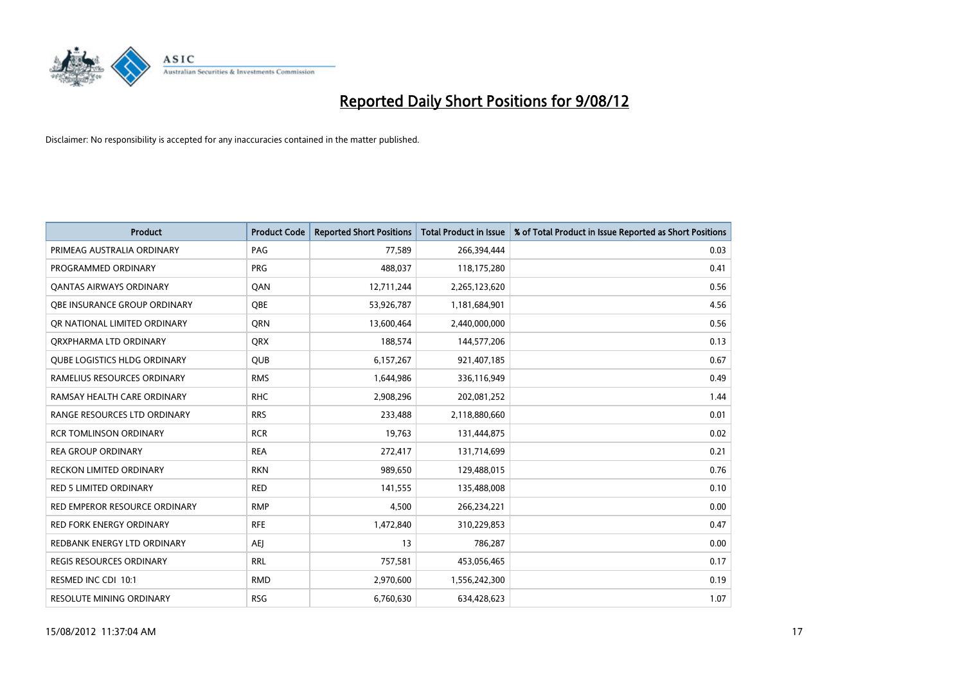

| <b>Product</b>                      | <b>Product Code</b> | <b>Reported Short Positions</b> | <b>Total Product in Issue</b> | % of Total Product in Issue Reported as Short Positions |
|-------------------------------------|---------------------|---------------------------------|-------------------------------|---------------------------------------------------------|
| PRIMEAG AUSTRALIA ORDINARY          | PAG                 | 77,589                          | 266,394,444                   | 0.03                                                    |
| PROGRAMMED ORDINARY                 | <b>PRG</b>          | 488,037                         | 118,175,280                   | 0.41                                                    |
| <b>QANTAS AIRWAYS ORDINARY</b>      | QAN                 | 12,711,244                      | 2,265,123,620                 | 0.56                                                    |
| <b>OBE INSURANCE GROUP ORDINARY</b> | <b>OBE</b>          | 53,926,787                      | 1,181,684,901                 | 4.56                                                    |
| OR NATIONAL LIMITED ORDINARY        | <b>ORN</b>          | 13,600,464                      | 2,440,000,000                 | 0.56                                                    |
| ORXPHARMA LTD ORDINARY              | <b>ORX</b>          | 188,574                         | 144,577,206                   | 0.13                                                    |
| <b>QUBE LOGISTICS HLDG ORDINARY</b> | <b>OUB</b>          | 6,157,267                       | 921,407,185                   | 0.67                                                    |
| RAMELIUS RESOURCES ORDINARY         | <b>RMS</b>          | 1,644,986                       | 336,116,949                   | 0.49                                                    |
| RAMSAY HEALTH CARE ORDINARY         | <b>RHC</b>          | 2,908,296                       | 202,081,252                   | 1.44                                                    |
| <b>RANGE RESOURCES LTD ORDINARY</b> | <b>RRS</b>          | 233,488                         | 2,118,880,660                 | 0.01                                                    |
| <b>RCR TOMLINSON ORDINARY</b>       | <b>RCR</b>          | 19,763                          | 131,444,875                   | 0.02                                                    |
| <b>REA GROUP ORDINARY</b>           | <b>REA</b>          | 272,417                         | 131,714,699                   | 0.21                                                    |
| RECKON LIMITED ORDINARY             | <b>RKN</b>          | 989,650                         | 129,488,015                   | 0.76                                                    |
| <b>RED 5 LIMITED ORDINARY</b>       | <b>RED</b>          | 141,555                         | 135,488,008                   | 0.10                                                    |
| RED EMPEROR RESOURCE ORDINARY       | <b>RMP</b>          | 4,500                           | 266,234,221                   | 0.00                                                    |
| RED FORK ENERGY ORDINARY            | <b>RFE</b>          | 1,472,840                       | 310,229,853                   | 0.47                                                    |
| REDBANK ENERGY LTD ORDINARY         | <b>AEJ</b>          | 13                              | 786,287                       | 0.00                                                    |
| REGIS RESOURCES ORDINARY            | <b>RRL</b>          | 757,581                         | 453,056,465                   | 0.17                                                    |
| RESMED INC CDI 10:1                 | <b>RMD</b>          | 2,970,600                       | 1,556,242,300                 | 0.19                                                    |
| <b>RESOLUTE MINING ORDINARY</b>     | <b>RSG</b>          | 6.760.630                       | 634,428,623                   | 1.07                                                    |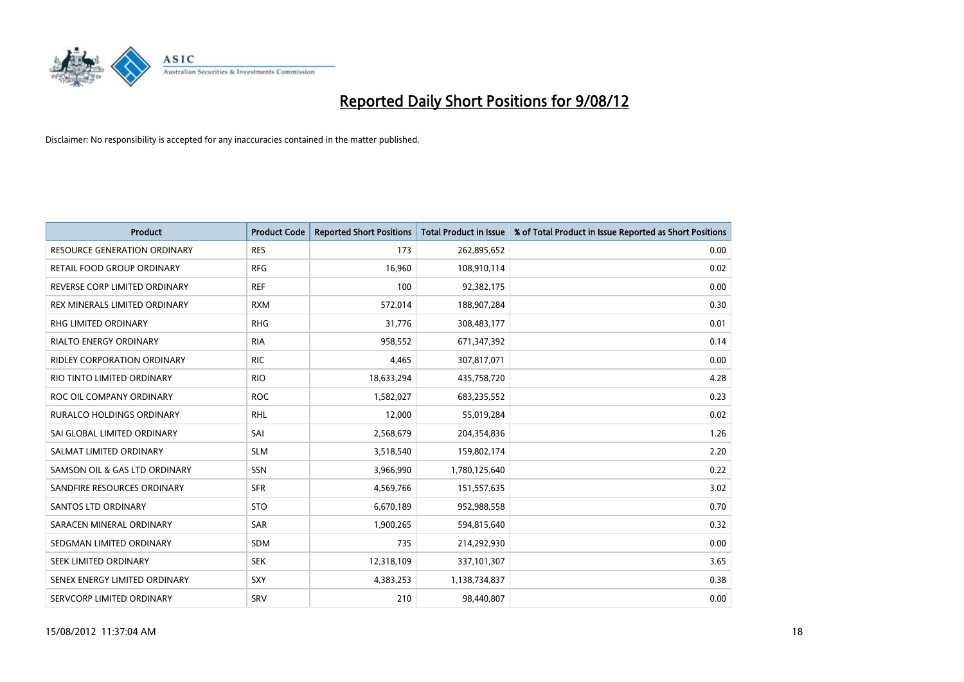

| <b>Product</b>                      | <b>Product Code</b> | <b>Reported Short Positions</b> | <b>Total Product in Issue</b> | % of Total Product in Issue Reported as Short Positions |
|-------------------------------------|---------------------|---------------------------------|-------------------------------|---------------------------------------------------------|
| <b>RESOURCE GENERATION ORDINARY</b> | <b>RES</b>          | 173                             | 262,895,652                   | 0.00                                                    |
| RETAIL FOOD GROUP ORDINARY          | <b>RFG</b>          | 16,960                          | 108,910,114                   | 0.02                                                    |
| REVERSE CORP LIMITED ORDINARY       | <b>REF</b>          | 100                             | 92,382,175                    | 0.00                                                    |
| REX MINERALS LIMITED ORDINARY       | <b>RXM</b>          | 572,014                         | 188,907,284                   | 0.30                                                    |
| <b>RHG LIMITED ORDINARY</b>         | <b>RHG</b>          | 31,776                          | 308,483,177                   | 0.01                                                    |
| <b>RIALTO ENERGY ORDINARY</b>       | <b>RIA</b>          | 958,552                         | 671,347,392                   | 0.14                                                    |
| <b>RIDLEY CORPORATION ORDINARY</b>  | <b>RIC</b>          | 4,465                           | 307,817,071                   | 0.00                                                    |
| RIO TINTO LIMITED ORDINARY          | <b>RIO</b>          | 18,633,294                      | 435,758,720                   | 4.28                                                    |
| ROC OIL COMPANY ORDINARY            | <b>ROC</b>          | 1,582,027                       | 683,235,552                   | 0.23                                                    |
| <b>RURALCO HOLDINGS ORDINARY</b>    | <b>RHL</b>          | 12,000                          | 55,019,284                    | 0.02                                                    |
| SAI GLOBAL LIMITED ORDINARY         | SAI                 | 2,568,679                       | 204,354,836                   | 1.26                                                    |
| SALMAT LIMITED ORDINARY             | <b>SLM</b>          | 3,518,540                       | 159,802,174                   | 2.20                                                    |
| SAMSON OIL & GAS LTD ORDINARY       | SSN                 | 3,966,990                       | 1,780,125,640                 | 0.22                                                    |
| SANDFIRE RESOURCES ORDINARY         | <b>SFR</b>          | 4,569,766                       | 151,557,635                   | 3.02                                                    |
| SANTOS LTD ORDINARY                 | <b>STO</b>          | 6,670,189                       | 952,988,558                   | 0.70                                                    |
| SARACEN MINERAL ORDINARY            | SAR                 | 1,900,265                       | 594,815,640                   | 0.32                                                    |
| SEDGMAN LIMITED ORDINARY            | <b>SDM</b>          | 735                             | 214,292,930                   | 0.00                                                    |
| SEEK LIMITED ORDINARY               | <b>SEK</b>          | 12,318,109                      | 337,101,307                   | 3.65                                                    |
| SENEX ENERGY LIMITED ORDINARY       | <b>SXY</b>          | 4,383,253                       | 1,138,734,837                 | 0.38                                                    |
| SERVCORP LIMITED ORDINARY           | SRV                 | 210                             | 98,440,807                    | 0.00                                                    |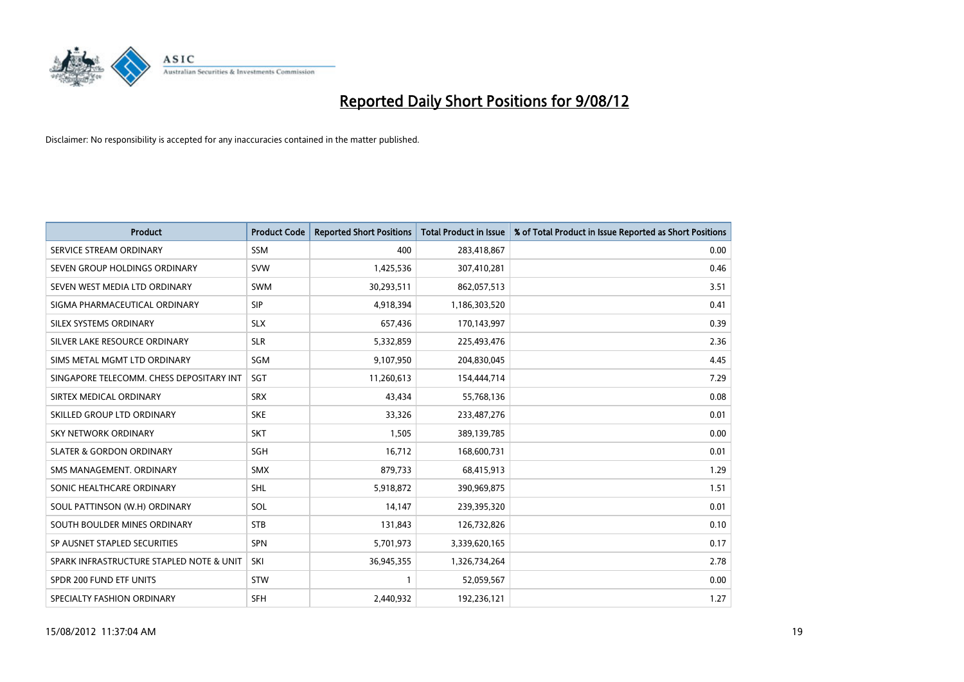

| <b>Product</b>                           | <b>Product Code</b> | <b>Reported Short Positions</b> | <b>Total Product in Issue</b> | % of Total Product in Issue Reported as Short Positions |
|------------------------------------------|---------------------|---------------------------------|-------------------------------|---------------------------------------------------------|
| SERVICE STREAM ORDINARY                  | <b>SSM</b>          | 400                             | 283,418,867                   | 0.00                                                    |
| SEVEN GROUP HOLDINGS ORDINARY            | <b>SVW</b>          | 1,425,536                       | 307,410,281                   | 0.46                                                    |
| SEVEN WEST MEDIA LTD ORDINARY            | <b>SWM</b>          | 30,293,511                      | 862,057,513                   | 3.51                                                    |
| SIGMA PHARMACEUTICAL ORDINARY            | <b>SIP</b>          | 4,918,394                       | 1,186,303,520                 | 0.41                                                    |
| SILEX SYSTEMS ORDINARY                   | <b>SLX</b>          | 657,436                         | 170,143,997                   | 0.39                                                    |
| SILVER LAKE RESOURCE ORDINARY            | <b>SLR</b>          | 5,332,859                       | 225,493,476                   | 2.36                                                    |
| SIMS METAL MGMT LTD ORDINARY             | <b>SGM</b>          | 9,107,950                       | 204,830,045                   | 4.45                                                    |
| SINGAPORE TELECOMM. CHESS DEPOSITARY INT | <b>SGT</b>          | 11,260,613                      | 154,444,714                   | 7.29                                                    |
| SIRTEX MEDICAL ORDINARY                  | <b>SRX</b>          | 43,434                          | 55,768,136                    | 0.08                                                    |
| SKILLED GROUP LTD ORDINARY               | <b>SKE</b>          | 33,326                          | 233,487,276                   | 0.01                                                    |
| SKY NETWORK ORDINARY                     | <b>SKT</b>          | 1,505                           | 389,139,785                   | 0.00                                                    |
| <b>SLATER &amp; GORDON ORDINARY</b>      | <b>SGH</b>          | 16,712                          | 168,600,731                   | 0.01                                                    |
| SMS MANAGEMENT. ORDINARY                 | <b>SMX</b>          | 879,733                         | 68,415,913                    | 1.29                                                    |
| SONIC HEALTHCARE ORDINARY                | <b>SHL</b>          | 5,918,872                       | 390,969,875                   | 1.51                                                    |
| SOUL PATTINSON (W.H) ORDINARY            | SOL                 | 14,147                          | 239,395,320                   | 0.01                                                    |
| SOUTH BOULDER MINES ORDINARY             | <b>STB</b>          | 131,843                         | 126,732,826                   | 0.10                                                    |
| SP AUSNET STAPLED SECURITIES             | <b>SPN</b>          | 5,701,973                       | 3,339,620,165                 | 0.17                                                    |
| SPARK INFRASTRUCTURE STAPLED NOTE & UNIT | SKI                 | 36,945,355                      | 1,326,734,264                 | 2.78                                                    |
| SPDR 200 FUND ETF UNITS                  | <b>STW</b>          | $\mathbf{1}$                    | 52,059,567                    | 0.00                                                    |
| SPECIALTY FASHION ORDINARY               | <b>SFH</b>          | 2,440,932                       | 192,236,121                   | 1.27                                                    |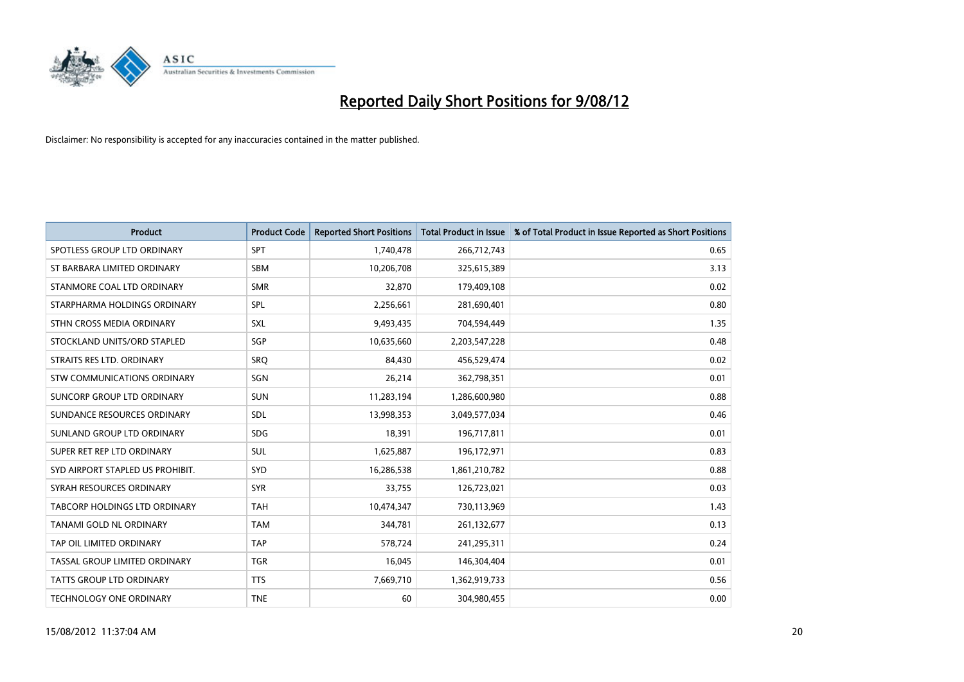

| <b>Product</b>                   | <b>Product Code</b> | <b>Reported Short Positions</b> | <b>Total Product in Issue</b> | % of Total Product in Issue Reported as Short Positions |
|----------------------------------|---------------------|---------------------------------|-------------------------------|---------------------------------------------------------|
| SPOTLESS GROUP LTD ORDINARY      | SPT                 | 1,740,478                       | 266,712,743                   | 0.65                                                    |
| ST BARBARA LIMITED ORDINARY      | <b>SBM</b>          | 10,206,708                      | 325,615,389                   | 3.13                                                    |
| STANMORE COAL LTD ORDINARY       | <b>SMR</b>          | 32,870                          | 179,409,108                   | 0.02                                                    |
| STARPHARMA HOLDINGS ORDINARY     | SPL                 | 2,256,661                       | 281,690,401                   | 0.80                                                    |
| STHN CROSS MEDIA ORDINARY        | <b>SXL</b>          | 9,493,435                       | 704,594,449                   | 1.35                                                    |
| STOCKLAND UNITS/ORD STAPLED      | SGP                 | 10,635,660                      | 2,203,547,228                 | 0.48                                                    |
| STRAITS RES LTD. ORDINARY        | SRO                 | 84,430                          | 456,529,474                   | 0.02                                                    |
| STW COMMUNICATIONS ORDINARY      | SGN                 | 26,214                          | 362,798,351                   | 0.01                                                    |
| SUNCORP GROUP LTD ORDINARY       | <b>SUN</b>          | 11,283,194                      | 1,286,600,980                 | 0.88                                                    |
| SUNDANCE RESOURCES ORDINARY      | <b>SDL</b>          | 13,998,353                      | 3,049,577,034                 | 0.46                                                    |
| SUNLAND GROUP LTD ORDINARY       | <b>SDG</b>          | 18,391                          | 196,717,811                   | 0.01                                                    |
| SUPER RET REP LTD ORDINARY       | <b>SUL</b>          | 1,625,887                       | 196,172,971                   | 0.83                                                    |
| SYD AIRPORT STAPLED US PROHIBIT. | SYD                 | 16,286,538                      | 1,861,210,782                 | 0.88                                                    |
| SYRAH RESOURCES ORDINARY         | <b>SYR</b>          | 33,755                          | 126,723,021                   | 0.03                                                    |
| TABCORP HOLDINGS LTD ORDINARY    | <b>TAH</b>          | 10,474,347                      | 730,113,969                   | 1.43                                                    |
| TANAMI GOLD NL ORDINARY          | <b>TAM</b>          | 344,781                         | 261,132,677                   | 0.13                                                    |
| TAP OIL LIMITED ORDINARY         | <b>TAP</b>          | 578,724                         | 241,295,311                   | 0.24                                                    |
| TASSAL GROUP LIMITED ORDINARY    | <b>TGR</b>          | 16,045                          | 146,304,404                   | 0.01                                                    |
| TATTS GROUP LTD ORDINARY         | <b>TTS</b>          | 7,669,710                       | 1,362,919,733                 | 0.56                                                    |
| <b>TECHNOLOGY ONE ORDINARY</b>   | <b>TNE</b>          | 60                              | 304,980,455                   | 0.00                                                    |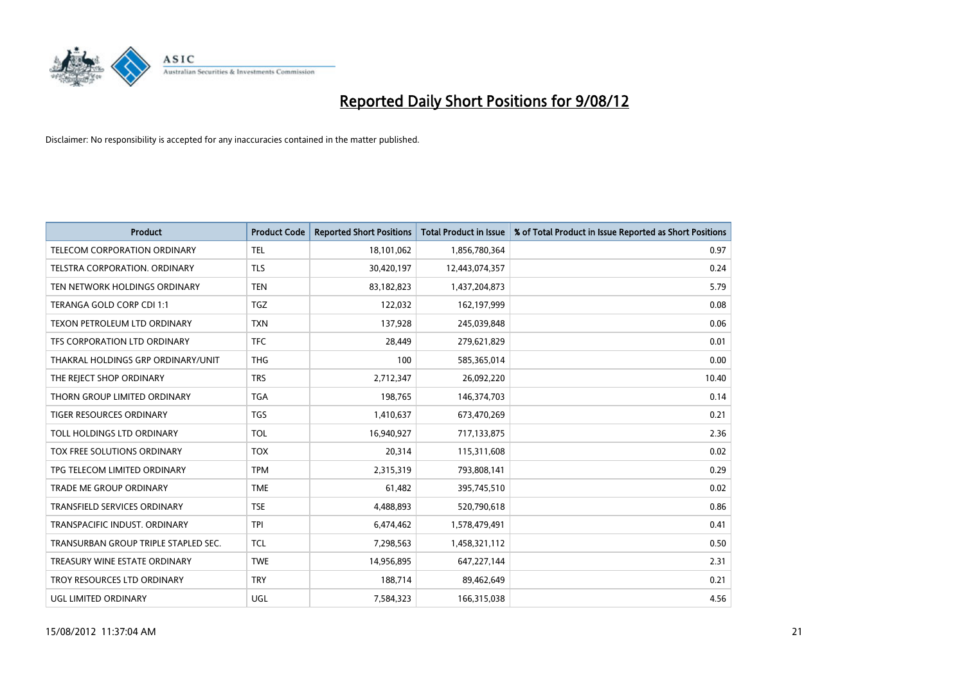

| <b>Product</b>                       | <b>Product Code</b> | <b>Reported Short Positions</b> | <b>Total Product in Issue</b> | % of Total Product in Issue Reported as Short Positions |
|--------------------------------------|---------------------|---------------------------------|-------------------------------|---------------------------------------------------------|
| <b>TELECOM CORPORATION ORDINARY</b>  | <b>TEL</b>          | 18,101,062                      | 1,856,780,364                 | 0.97                                                    |
| TELSTRA CORPORATION. ORDINARY        | <b>TLS</b>          | 30,420,197                      | 12,443,074,357                | 0.24                                                    |
| TEN NETWORK HOLDINGS ORDINARY        | <b>TEN</b>          | 83,182,823                      | 1,437,204,873                 | 5.79                                                    |
| TERANGA GOLD CORP CDI 1:1            | <b>TGZ</b>          | 122,032                         | 162,197,999                   | 0.08                                                    |
| TEXON PETROLEUM LTD ORDINARY         | <b>TXN</b>          | 137,928                         | 245,039,848                   | 0.06                                                    |
| TFS CORPORATION LTD ORDINARY         | <b>TFC</b>          | 28.449                          | 279,621,829                   | 0.01                                                    |
| THAKRAL HOLDINGS GRP ORDINARY/UNIT   | <b>THG</b>          | 100                             | 585,365,014                   | 0.00                                                    |
| THE REJECT SHOP ORDINARY             | <b>TRS</b>          | 2,712,347                       | 26,092,220                    | 10.40                                                   |
| THORN GROUP LIMITED ORDINARY         | <b>TGA</b>          | 198,765                         | 146,374,703                   | 0.14                                                    |
| <b>TIGER RESOURCES ORDINARY</b>      | <b>TGS</b>          | 1,410,637                       | 673,470,269                   | 0.21                                                    |
| TOLL HOLDINGS LTD ORDINARY           | <b>TOL</b>          | 16,940,927                      | 717,133,875                   | 2.36                                                    |
| TOX FREE SOLUTIONS ORDINARY          | <b>TOX</b>          | 20,314                          | 115,311,608                   | 0.02                                                    |
| TPG TELECOM LIMITED ORDINARY         | <b>TPM</b>          | 2,315,319                       | 793,808,141                   | 0.29                                                    |
| <b>TRADE ME GROUP ORDINARY</b>       | <b>TME</b>          | 61,482                          | 395,745,510                   | 0.02                                                    |
| TRANSFIELD SERVICES ORDINARY         | <b>TSE</b>          | 4,488,893                       | 520,790,618                   | 0.86                                                    |
| TRANSPACIFIC INDUST, ORDINARY        | <b>TPI</b>          | 6,474,462                       | 1,578,479,491                 | 0.41                                                    |
| TRANSURBAN GROUP TRIPLE STAPLED SEC. | <b>TCL</b>          | 7,298,563                       | 1,458,321,112                 | 0.50                                                    |
| TREASURY WINE ESTATE ORDINARY        | <b>TWE</b>          | 14,956,895                      | 647,227,144                   | 2.31                                                    |
| TROY RESOURCES LTD ORDINARY          | <b>TRY</b>          | 188,714                         | 89,462,649                    | 0.21                                                    |
| UGL LIMITED ORDINARY                 | UGL                 | 7,584,323                       | 166,315,038                   | 4.56                                                    |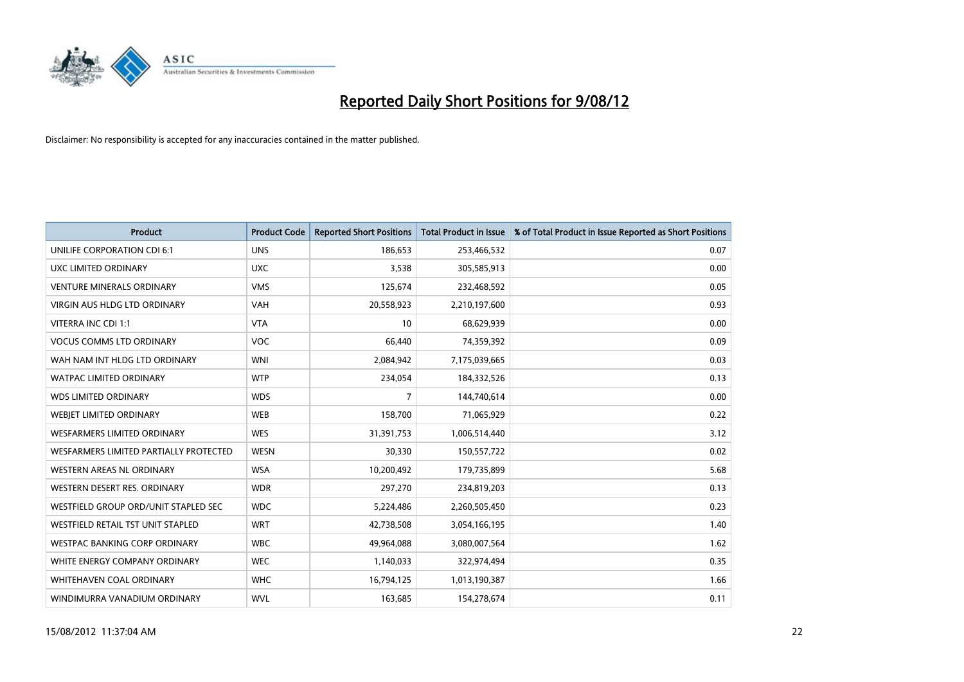

| <b>Product</b>                         | <b>Product Code</b> | <b>Reported Short Positions</b> | <b>Total Product in Issue</b> | % of Total Product in Issue Reported as Short Positions |
|----------------------------------------|---------------------|---------------------------------|-------------------------------|---------------------------------------------------------|
| UNILIFE CORPORATION CDI 6:1            | <b>UNS</b>          | 186,653                         | 253,466,532                   | 0.07                                                    |
| UXC LIMITED ORDINARY                   | <b>UXC</b>          | 3,538                           | 305,585,913                   | 0.00                                                    |
| <b>VENTURE MINERALS ORDINARY</b>       | <b>VMS</b>          | 125,674                         | 232,468,592                   | 0.05                                                    |
| <b>VIRGIN AUS HLDG LTD ORDINARY</b>    | <b>VAH</b>          | 20,558,923                      | 2,210,197,600                 | 0.93                                                    |
| VITERRA INC CDI 1:1                    | <b>VTA</b>          | 10                              | 68,629,939                    | 0.00                                                    |
| <b>VOCUS COMMS LTD ORDINARY</b>        | <b>VOC</b>          | 66,440                          | 74,359,392                    | 0.09                                                    |
| WAH NAM INT HLDG LTD ORDINARY          | <b>WNI</b>          | 2,084,942                       | 7,175,039,665                 | 0.03                                                    |
| WATPAC LIMITED ORDINARY                | <b>WTP</b>          | 234,054                         | 184,332,526                   | 0.13                                                    |
| <b>WDS LIMITED ORDINARY</b>            | <b>WDS</b>          | 7                               | 144,740,614                   | 0.00                                                    |
| WEBIET LIMITED ORDINARY                | <b>WEB</b>          | 158,700                         | 71,065,929                    | 0.22                                                    |
| <b>WESFARMERS LIMITED ORDINARY</b>     | <b>WES</b>          | 31,391,753                      | 1,006,514,440                 | 3.12                                                    |
| WESFARMERS LIMITED PARTIALLY PROTECTED | <b>WESN</b>         | 30,330                          | 150,557,722                   | 0.02                                                    |
| <b>WESTERN AREAS NL ORDINARY</b>       | <b>WSA</b>          | 10,200,492                      | 179,735,899                   | 5.68                                                    |
| WESTERN DESERT RES. ORDINARY           | <b>WDR</b>          | 297,270                         | 234,819,203                   | 0.13                                                    |
| WESTFIELD GROUP ORD/UNIT STAPLED SEC   | <b>WDC</b>          | 5,224,486                       | 2,260,505,450                 | 0.23                                                    |
| WESTFIELD RETAIL TST UNIT STAPLED      | <b>WRT</b>          | 42,738,508                      | 3,054,166,195                 | 1.40                                                    |
| WESTPAC BANKING CORP ORDINARY          | <b>WBC</b>          | 49,964,088                      | 3,080,007,564                 | 1.62                                                    |
| WHITE ENERGY COMPANY ORDINARY          | <b>WEC</b>          | 1,140,033                       | 322,974,494                   | 0.35                                                    |
| <b>WHITEHAVEN COAL ORDINARY</b>        | <b>WHC</b>          | 16,794,125                      | 1,013,190,387                 | 1.66                                                    |
| WINDIMURRA VANADIUM ORDINARY           | <b>WVL</b>          | 163,685                         | 154,278,674                   | 0.11                                                    |